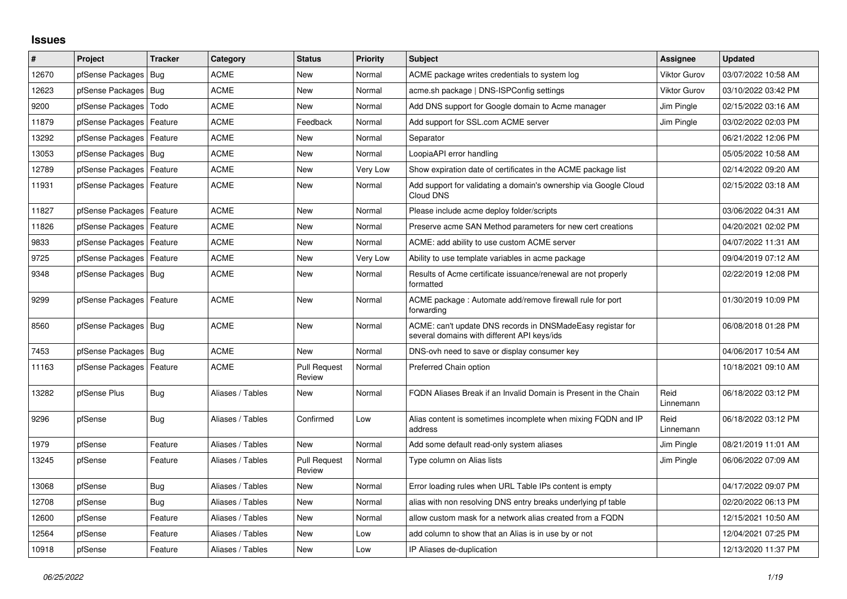## **Issues**

| #     | Project                    | <b>Tracker</b> | Category         | <b>Status</b>                 | <b>Priority</b> | <b>Subject</b>                                                                                            | Assignee            | <b>Updated</b>      |
|-------|----------------------------|----------------|------------------|-------------------------------|-----------------|-----------------------------------------------------------------------------------------------------------|---------------------|---------------------|
| 12670 | pfSense Packages           | Bug            | <b>ACME</b>      | <b>New</b>                    | Normal          | ACME package writes credentials to system log                                                             | <b>Viktor Gurov</b> | 03/07/2022 10:58 AM |
| 12623 | pfSense Packages           | Bug            | <b>ACME</b>      | <b>New</b>                    | Normal          | acme.sh package   DNS-ISPConfig settings                                                                  | <b>Viktor Gurov</b> | 03/10/2022 03:42 PM |
| 9200  | pfSense Packages           | Todo           | ACME             | <b>New</b>                    | Normal          | Add DNS support for Google domain to Acme manager                                                         | Jim Pingle          | 02/15/2022 03:16 AM |
| 11879 | pfSense Packages           | Feature        | <b>ACME</b>      | Feedback                      | Normal          | Add support for SSL.com ACME server                                                                       | Jim Pingle          | 03/02/2022 02:03 PM |
| 13292 | pfSense Packages           | Feature        | <b>ACME</b>      | <b>New</b>                    | Normal          | Separator                                                                                                 |                     | 06/21/2022 12:06 PM |
| 13053 | pfSense Packages           | Bua            | ACME             | <b>New</b>                    | Normal          | LoopiaAPI error handling                                                                                  |                     | 05/05/2022 10:58 AM |
| 12789 | pfSense Packages           | Feature        | <b>ACME</b>      | <b>New</b>                    | Very Low        | Show expiration date of certificates in the ACME package list                                             |                     | 02/14/2022 09:20 AM |
| 11931 | pfSense Packages   Feature |                | <b>ACME</b>      | <b>New</b>                    | Normal          | Add support for validating a domain's ownership via Google Cloud<br>Cloud DNS                             |                     | 02/15/2022 03:18 AM |
| 11827 | pfSense Packages           | Feature        | <b>ACME</b>      | <b>New</b>                    | Normal          | Please include acme deploy folder/scripts                                                                 |                     | 03/06/2022 04:31 AM |
| 11826 | pfSense Packages           | Feature        | <b>ACME</b>      | <b>New</b>                    | Normal          | Preserve acme SAN Method parameters for new cert creations                                                |                     | 04/20/2021 02:02 PM |
| 9833  | pfSense Packages           | Feature        | <b>ACME</b>      | <b>New</b>                    | Normal          | ACME: add ability to use custom ACME server                                                               |                     | 04/07/2022 11:31 AM |
| 9725  | pfSense Packages           | Feature        | <b>ACME</b>      | <b>New</b>                    | Very Low        | Ability to use template variables in acme package                                                         |                     | 09/04/2019 07:12 AM |
| 9348  | pfSense Packages           | Bug            | ACME             | New                           | Normal          | Results of Acme certificate issuance/renewal are not properly<br>formatted                                |                     | 02/22/2019 12:08 PM |
| 9299  | pfSense Packages   Feature |                | <b>ACME</b>      | <b>New</b>                    | Normal          | ACME package: Automate add/remove firewall rule for port<br>forwarding                                    |                     | 01/30/2019 10:09 PM |
| 8560  | pfSense Packages   Bug     |                | <b>ACME</b>      | <b>New</b>                    | Normal          | ACME: can't update DNS records in DNSMadeEasy registar for<br>several domains with different API keys/ids |                     | 06/08/2018 01:28 PM |
| 7453  | pfSense Packages           | Bug            | <b>ACME</b>      | <b>New</b>                    | Normal          | DNS-ovh need to save or display consumer key                                                              |                     | 04/06/2017 10:54 AM |
| 11163 | pfSense Packages   Feature |                | <b>ACME</b>      | <b>Pull Request</b><br>Review | Normal          | Preferred Chain option                                                                                    |                     | 10/18/2021 09:10 AM |
| 13282 | pfSense Plus               | <b>Bug</b>     | Aliases / Tables | <b>New</b>                    | Normal          | FQDN Aliases Break if an Invalid Domain is Present in the Chain                                           | Reid<br>Linnemann   | 06/18/2022 03:12 PM |
| 9296  | pfSense                    | <b>Bug</b>     | Aliases / Tables | Confirmed                     | Low             | Alias content is sometimes incomplete when mixing FQDN and IP<br>address                                  | Reid<br>Linnemann   | 06/18/2022 03:12 PM |
| 1979  | pfSense                    | Feature        | Aliases / Tables | <b>New</b>                    | Normal          | Add some default read-only system aliases                                                                 | Jim Pingle          | 08/21/2019 11:01 AM |
| 13245 | pfSense                    | Feature        | Aliases / Tables | <b>Pull Request</b><br>Review | Normal          | Type column on Alias lists                                                                                | Jim Pingle          | 06/06/2022 07:09 AM |
| 13068 | pfSense                    | <b>Bug</b>     | Aliases / Tables | <b>New</b>                    | Normal          | Error loading rules when URL Table IPs content is empty                                                   |                     | 04/17/2022 09:07 PM |
| 12708 | pfSense                    | Bug            | Aliases / Tables | <b>New</b>                    | Normal          | alias with non resolving DNS entry breaks underlying pf table                                             |                     | 02/20/2022 06:13 PM |
| 12600 | pfSense                    | Feature        | Aliases / Tables | <b>New</b>                    | Normal          | allow custom mask for a network alias created from a FQDN                                                 |                     | 12/15/2021 10:50 AM |
| 12564 | pfSense                    | Feature        | Aliases / Tables | New                           | Low             | add column to show that an Alias is in use by or not                                                      |                     | 12/04/2021 07:25 PM |
| 10918 | pfSense                    | Feature        | Aliases / Tables | New                           | Low             | IP Aliases de-duplication                                                                                 |                     | 12/13/2020 11:37 PM |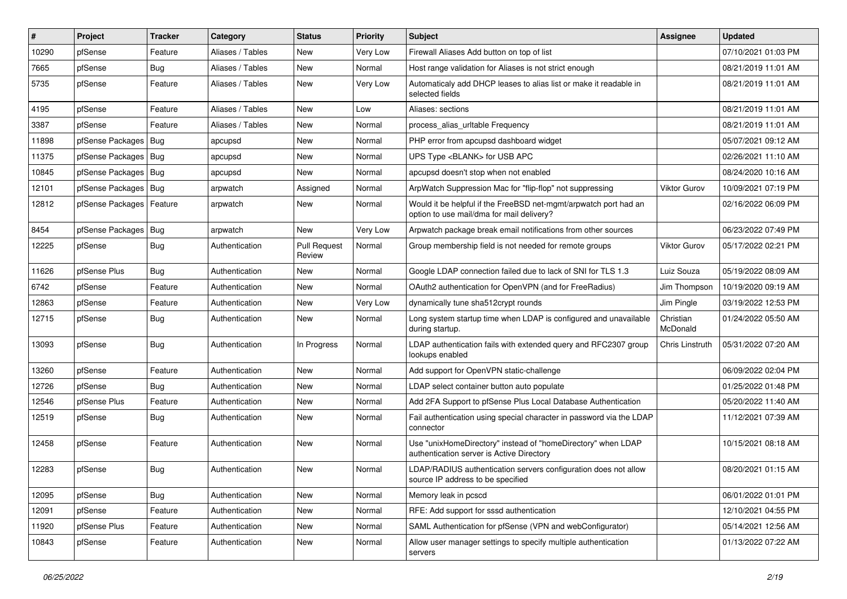| $\vert$ # | Project                    | <b>Tracker</b> | Category         | <b>Status</b>                 | <b>Priority</b> | Subject                                                                                                       | <b>Assignee</b>       | <b>Updated</b>      |
|-----------|----------------------------|----------------|------------------|-------------------------------|-----------------|---------------------------------------------------------------------------------------------------------------|-----------------------|---------------------|
| 10290     | pfSense                    | Feature        | Aliases / Tables | New                           | Very Low        | Firewall Aliases Add button on top of list                                                                    |                       | 07/10/2021 01:03 PM |
| 7665      | pfSense                    | Bug            | Aliases / Tables | New                           | Normal          | Host range validation for Aliases is not strict enough                                                        |                       | 08/21/2019 11:01 AM |
| 5735      | pfSense                    | Feature        | Aliases / Tables | New                           | Very Low        | Automaticaly add DHCP leases to alias list or make it readable in<br>selected fields                          |                       | 08/21/2019 11:01 AM |
| 4195      | pfSense                    | Feature        | Aliases / Tables | <b>New</b>                    | Low             | Aliases: sections                                                                                             |                       | 08/21/2019 11:01 AM |
| 3387      | pfSense                    | Feature        | Aliases / Tables | New                           | Normal          | process alias urltable Frequency                                                                              |                       | 08/21/2019 11:01 AM |
| 11898     | pfSense Packages   Bug     |                | apcupsd          | New                           | Normal          | PHP error from apcupsd dashboard widget                                                                       |                       | 05/07/2021 09:12 AM |
| 11375     | pfSense Packages   Bug     |                | apcupsd          | New                           | Normal          | UPS Type <blank> for USB APC</blank>                                                                          |                       | 02/26/2021 11:10 AM |
| 10845     | pfSense Packages   Bug     |                | apcupsd          | New                           | Normal          | apcupsd doesn't stop when not enabled                                                                         |                       | 08/24/2020 10:16 AM |
| 12101     | pfSense Packages   Bug     |                | arpwatch         | Assigned                      | Normal          | ArpWatch Suppression Mac for "flip-flop" not suppressing                                                      | Viktor Gurov          | 10/09/2021 07:19 PM |
| 12812     | pfSense Packages   Feature |                | arpwatch         | New                           | Normal          | Would it be helpful if the FreeBSD net-mgmt/arpwatch port had an<br>option to use mail/dma for mail delivery? |                       | 02/16/2022 06:09 PM |
| 8454      | pfSense Packages   Bug     |                | arpwatch         | New                           | Very Low        | Arpwatch package break email notifications from other sources                                                 |                       | 06/23/2022 07:49 PM |
| 12225     | pfSense                    | <b>Bug</b>     | Authentication   | <b>Pull Request</b><br>Review | Normal          | Group membership field is not needed for remote groups                                                        | <b>Viktor Gurov</b>   | 05/17/2022 02:21 PM |
| 11626     | pfSense Plus               | Bug            | Authentication   | <b>New</b>                    | Normal          | Google LDAP connection failed due to lack of SNI for TLS 1.3                                                  | Luiz Souza            | 05/19/2022 08:09 AM |
| 6742      | pfSense                    | Feature        | Authentication   | New                           | Normal          | OAuth2 authentication for OpenVPN (and for FreeRadius)                                                        | Jim Thompson          | 10/19/2020 09:19 AM |
| 12863     | pfSense                    | Feature        | Authentication   | <b>New</b>                    | Very Low        | dynamically tune sha512crypt rounds                                                                           | Jim Pingle            | 03/19/2022 12:53 PM |
| 12715     | pfSense                    | Bug            | Authentication   | New                           | Normal          | Long system startup time when LDAP is configured and unavailable<br>during startup.                           | Christian<br>McDonald | 01/24/2022 05:50 AM |
| 13093     | pfSense                    | <b>Bug</b>     | Authentication   | In Progress                   | Normal          | LDAP authentication fails with extended query and RFC2307 group<br>lookups enabled                            | Chris Linstruth       | 05/31/2022 07:20 AM |
| 13260     | pfSense                    | Feature        | Authentication   | <b>New</b>                    | Normal          | Add support for OpenVPN static-challenge                                                                      |                       | 06/09/2022 02:04 PM |
| 12726     | pfSense                    | <b>Bug</b>     | Authentication   | <b>New</b>                    | Normal          | LDAP select container button auto populate                                                                    |                       | 01/25/2022 01:48 PM |
| 12546     | pfSense Plus               | Feature        | Authentication   | New                           | Normal          | Add 2FA Support to pfSense Plus Local Database Authentication                                                 |                       | 05/20/2022 11:40 AM |
| 12519     | pfSense                    | Bug            | Authentication   | New                           | Normal          | Fail authentication using special character in password via the LDAP<br>connector                             |                       | 11/12/2021 07:39 AM |
| 12458     | pfSense                    | Feature        | Authentication   | New                           | Normal          | Use "unixHomeDirectory" instead of "homeDirectory" when LDAP<br>authentication server is Active Directory     |                       | 10/15/2021 08:18 AM |
| 12283     | pfSense                    | <b>Bug</b>     | Authentication   | New                           | Normal          | LDAP/RADIUS authentication servers configuration does not allow<br>source IP address to be specified          |                       | 08/20/2021 01:15 AM |
| 12095     | pfSense                    | <b>Bug</b>     | Authentication   | New                           | Normal          | Memory leak in pcscd                                                                                          |                       | 06/01/2022 01:01 PM |
| 12091     | pfSense                    | Feature        | Authentication   | New                           | Normal          | RFE: Add support for sssd authentication                                                                      |                       | 12/10/2021 04:55 PM |
| 11920     | pfSense Plus               | Feature        | Authentication   | New                           | Normal          | SAML Authentication for pfSense (VPN and webConfigurator)                                                     |                       | 05/14/2021 12:56 AM |
| 10843     | pfSense                    | Feature        | Authentication   | New                           | Normal          | Allow user manager settings to specify multiple authentication<br>servers                                     |                       | 01/13/2022 07:22 AM |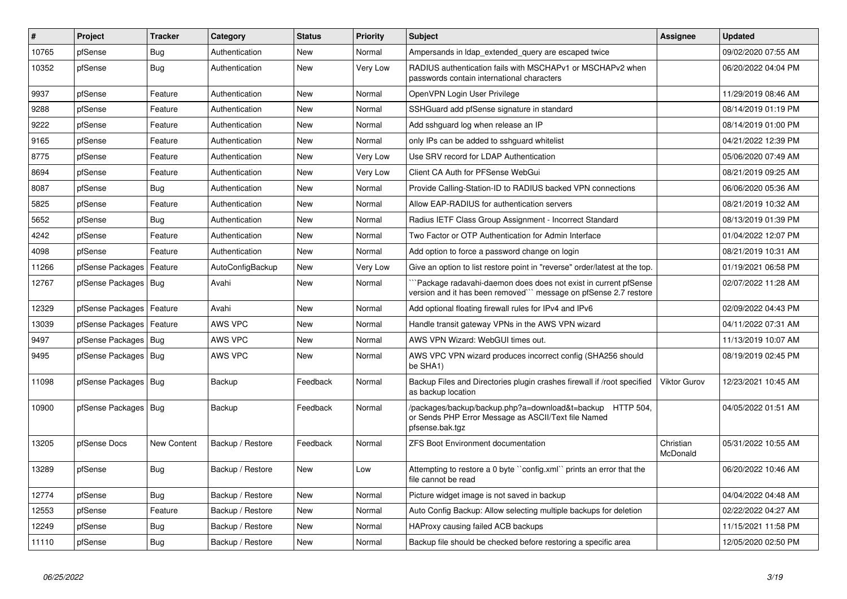| $\sharp$ | Project                | <b>Tracker</b>     | Category         | <b>Status</b> | <b>Priority</b> | <b>Subject</b>                                                                                                                      | <b>Assignee</b>       | <b>Updated</b>      |
|----------|------------------------|--------------------|------------------|---------------|-----------------|-------------------------------------------------------------------------------------------------------------------------------------|-----------------------|---------------------|
| 10765    | pfSense                | Bug                | Authentication   | <b>New</b>    | Normal          | Ampersands in Idap extended query are escaped twice                                                                                 |                       | 09/02/2020 07:55 AM |
| 10352    | pfSense                | <b>Bug</b>         | Authentication   | New           | Very Low        | RADIUS authentication fails with MSCHAPv1 or MSCHAPv2 when<br>passwords contain international characters                            |                       | 06/20/2022 04:04 PM |
| 9937     | pfSense                | Feature            | Authentication   | <b>New</b>    | Normal          | OpenVPN Login User Privilege                                                                                                        |                       | 11/29/2019 08:46 AM |
| 9288     | pfSense                | Feature            | Authentication   | <b>New</b>    | Normal          | SSHGuard add pfSense signature in standard                                                                                          |                       | 08/14/2019 01:19 PM |
| 9222     | pfSense                | Feature            | Authentication   | <b>New</b>    | Normal          | Add sshguard log when release an IP                                                                                                 |                       | 08/14/2019 01:00 PM |
| 9165     | pfSense                | Feature            | Authentication   | <b>New</b>    | Normal          | only IPs can be added to sshguard whitelist                                                                                         |                       | 04/21/2022 12:39 PM |
| 8775     | pfSense                | Feature            | Authentication   | <b>New</b>    | Very Low        | Use SRV record for LDAP Authentication                                                                                              |                       | 05/06/2020 07:49 AM |
| 8694     | pfSense                | Feature            | Authentication   | <b>New</b>    | Very Low        | Client CA Auth for PFSense WebGui                                                                                                   |                       | 08/21/2019 09:25 AM |
| 8087     | pfSense                | Bug                | Authentication   | <b>New</b>    | Normal          | Provide Calling-Station-ID to RADIUS backed VPN connections                                                                         |                       | 06/06/2020 05:36 AM |
| 5825     | pfSense                | Feature            | Authentication   | <b>New</b>    | Normal          | Allow EAP-RADIUS for authentication servers                                                                                         |                       | 08/21/2019 10:32 AM |
| 5652     | pfSense                | <b>Bug</b>         | Authentication   | <b>New</b>    | Normal          | Radius IETF Class Group Assignment - Incorrect Standard                                                                             |                       | 08/13/2019 01:39 PM |
| 4242     | pfSense                | Feature            | Authentication   | <b>New</b>    | Normal          | Two Factor or OTP Authentication for Admin Interface                                                                                |                       | 01/04/2022 12:07 PM |
| 4098     | pfSense                | Feature            | Authentication   | <b>New</b>    | Normal          | Add option to force a password change on login                                                                                      |                       | 08/21/2019 10:31 AM |
| 11266    | pfSense Packages       | Feature            | AutoConfigBackup | <b>New</b>    | Very Low        | Give an option to list restore point in "reverse" order/latest at the top.                                                          |                       | 01/19/2021 06:58 PM |
| 12767    | pfSense Packages   Bug |                    | Avahi            | New           | Normal          | Package radavahi-daemon does does not exist in current pfSense<br>version and it has been removed``` message on pfSense 2.7 restore |                       | 02/07/2022 11:28 AM |
| 12329    | pfSense Packages       | Feature            | Avahi            | <b>New</b>    | Normal          | Add optional floating firewall rules for IPv4 and IPv6                                                                              |                       | 02/09/2022 04:43 PM |
| 13039    | pfSense Packages       | l Feature          | AWS VPC          | <b>New</b>    | Normal          | Handle transit gateway VPNs in the AWS VPN wizard                                                                                   |                       | 04/11/2022 07:31 AM |
| 9497     | pfSense Packages   Bug |                    | AWS VPC          | New           | Normal          | AWS VPN Wizard: WebGUI times out.                                                                                                   |                       | 11/13/2019 10:07 AM |
| 9495     | pfSense Packages   Bug |                    | AWS VPC          | <b>New</b>    | Normal          | AWS VPC VPN wizard produces incorrect config (SHA256 should<br>be SHA1)                                                             |                       | 08/19/2019 02:45 PM |
| 11098    | pfSense Packages   Bug |                    | Backup           | Feedback      | Normal          | Backup Files and Directories plugin crashes firewall if /root specified<br>as backup location                                       | <b>Viktor Gurov</b>   | 12/23/2021 10:45 AM |
| 10900    | pfSense Packages   Bug |                    | Backup           | Feedback      | Normal          | /packages/backup/backup.php?a=download&t=backup HTTP 504,<br>or Sends PHP Error Message as ASCII/Text file Named<br>pfsense.bak.tgz |                       | 04/05/2022 01:51 AM |
| 13205    | pfSense Docs           | <b>New Content</b> | Backup / Restore | Feedback      | Normal          | <b>ZFS Boot Environment documentation</b>                                                                                           | Christian<br>McDonald | 05/31/2022 10:55 AM |
| 13289    | pfSense                | Bug                | Backup / Restore | <b>New</b>    | Low             | Attempting to restore a 0 byte "config.xml" prints an error that the<br>file cannot be read                                         |                       | 06/20/2022 10:46 AM |
| 12774    | pfSense                | Bug                | Backup / Restore | <b>New</b>    | Normal          | Picture widget image is not saved in backup                                                                                         |                       | 04/04/2022 04:48 AM |
| 12553    | pfSense                | Feature            | Backup / Restore | <b>New</b>    | Normal          | Auto Config Backup: Allow selecting multiple backups for deletion                                                                   |                       | 02/22/2022 04:27 AM |
| 12249    | pfSense                | <b>Bug</b>         | Backup / Restore | <b>New</b>    | Normal          | HAProxy causing failed ACB backups                                                                                                  |                       | 11/15/2021 11:58 PM |
| 11110    | pfSense                | <b>Bug</b>         | Backup / Restore | New           | Normal          | Backup file should be checked before restoring a specific area                                                                      |                       | 12/05/2020 02:50 PM |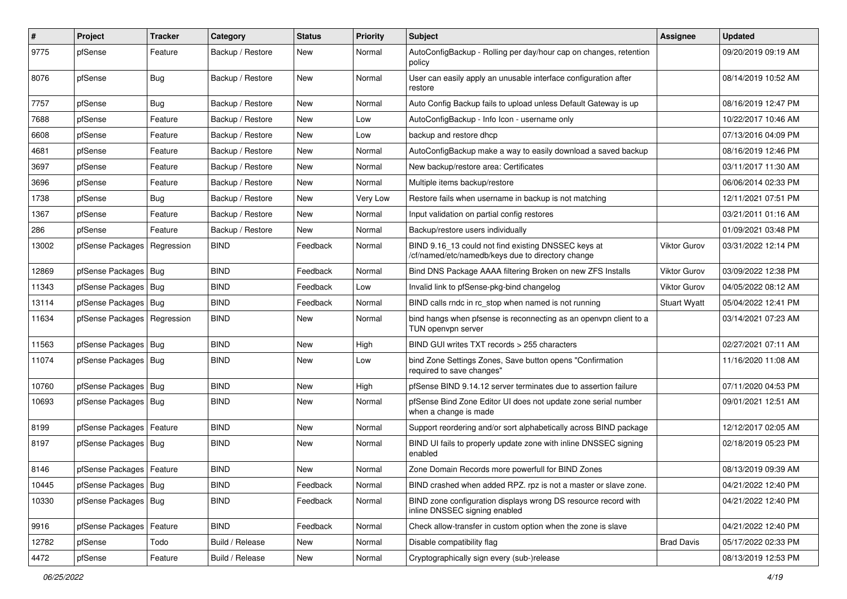| #     | Project                       | Tracker    | Category         | <b>Status</b> | <b>Priority</b> | Subject                                                                                                  | <b>Assignee</b>     | <b>Updated</b>      |
|-------|-------------------------------|------------|------------------|---------------|-----------------|----------------------------------------------------------------------------------------------------------|---------------------|---------------------|
| 9775  | pfSense                       | Feature    | Backup / Restore | New           | Normal          | AutoConfigBackup - Rolling per day/hour cap on changes, retention<br>policy                              |                     | 09/20/2019 09:19 AM |
| 8076  | pfSense                       | <b>Bug</b> | Backup / Restore | New           | Normal          | User can easily apply an unusable interface configuration after<br>restore                               |                     | 08/14/2019 10:52 AM |
| 7757  | pfSense                       | <b>Bug</b> | Backup / Restore | <b>New</b>    | Normal          | Auto Config Backup fails to upload unless Default Gateway is up                                          |                     | 08/16/2019 12:47 PM |
| 7688  | pfSense                       | Feature    | Backup / Restore | New           | Low             | AutoConfigBackup - Info Icon - username only                                                             |                     | 10/22/2017 10:46 AM |
| 6608  | pfSense                       | Feature    | Backup / Restore | New           | Low             | backup and restore dhcp                                                                                  |                     | 07/13/2016 04:09 PM |
| 4681  | pfSense                       | Feature    | Backup / Restore | New           | Normal          | AutoConfigBackup make a way to easily download a saved backup                                            |                     | 08/16/2019 12:46 PM |
| 3697  | pfSense                       | Feature    | Backup / Restore | New           | Normal          | New backup/restore area: Certificates                                                                    |                     | 03/11/2017 11:30 AM |
| 3696  | pfSense                       | Feature    | Backup / Restore | New           | Normal          | Multiple items backup/restore                                                                            |                     | 06/06/2014 02:33 PM |
| 1738  | pfSense                       | <b>Bug</b> | Backup / Restore | New           | Very Low        | Restore fails when username in backup is not matching                                                    |                     | 12/11/2021 07:51 PM |
| 1367  | pfSense                       | Feature    | Backup / Restore | New           | Normal          | Input validation on partial config restores                                                              |                     | 03/21/2011 01:16 AM |
| 286   | pfSense                       | Feature    | Backup / Restore | <b>New</b>    | Normal          | Backup/restore users individually                                                                        |                     | 01/09/2021 03:48 PM |
| 13002 | pfSense Packages              | Regression | <b>BIND</b>      | Feedback      | Normal          | BIND 9.16 13 could not find existing DNSSEC keys at<br>/cf/named/etc/namedb/keys due to directory change | Viktor Gurov        | 03/31/2022 12:14 PM |
| 12869 | pfSense Packages   Bug        |            | <b>BIND</b>      | Feedback      | Normal          | Bind DNS Package AAAA filtering Broken on new ZFS Installs                                               | Viktor Gurov        | 03/09/2022 12:38 PM |
| 11343 | pfSense Packages   Bug        |            | <b>BIND</b>      | Feedback      | Low             | Invalid link to pfSense-pkg-bind changelog                                                               | <b>Viktor Gurov</b> | 04/05/2022 08:12 AM |
| 13114 | pfSense Packages   Bug        |            | <b>BIND</b>      | Feedback      | Normal          | BIND calls rndc in rc_stop when named is not running                                                     | <b>Stuart Wyatt</b> | 05/04/2022 12:41 PM |
| 11634 | pfSense Packages   Regression |            | <b>BIND</b>      | New           | Normal          | bind hangs when pfsense is reconnecting as an openypn client to a<br>TUN openvpn server                  |                     | 03/14/2021 07:23 AM |
| 11563 | pfSense Packages   Bug        |            | <b>BIND</b>      | <b>New</b>    | High            | BIND GUI writes TXT records > 255 characters                                                             |                     | 02/27/2021 07:11 AM |
| 11074 | pfSense Packages   Bug        |            | <b>BIND</b>      | New           | Low             | bind Zone Settings Zones, Save button opens "Confirmation<br>required to save changes"                   |                     | 11/16/2020 11:08 AM |
| 10760 | pfSense Packages   Bug        |            | <b>BIND</b>      | New           | High            | pfSense BIND 9.14.12 server terminates due to assertion failure                                          |                     | 07/11/2020 04:53 PM |
| 10693 | pfSense Packages   Bug        |            | <b>BIND</b>      | New           | Normal          | pfSense Bind Zone Editor UI does not update zone serial number<br>when a change is made                  |                     | 09/01/2021 12:51 AM |
| 8199  | pfSense Packages   Feature    |            | <b>BIND</b>      | New           | Normal          | Support reordering and/or sort alphabetically across BIND package                                        |                     | 12/12/2017 02:05 AM |
| 8197  | pfSense Packages   Bug        |            | <b>BIND</b>      | New           | Normal          | BIND UI fails to properly update zone with inline DNSSEC signing<br>enabled                              |                     | 02/18/2019 05:23 PM |
| 8146  | pfSense Packages   Feature    |            | <b>BIND</b>      | New           | Normal          | Zone Domain Records more powerfull for BIND Zones                                                        |                     | 08/13/2019 09:39 AM |
| 10445 | pfSense Packages   Bug        |            | <b>BIND</b>      | Feedback      | Normal          | BIND crashed when added RPZ. rpz is not a master or slave zone.                                          |                     | 04/21/2022 12:40 PM |
| 10330 | pfSense Packages   Bug        |            | <b>BIND</b>      | Feedback      | Normal          | BIND zone configuration displays wrong DS resource record with<br>inline DNSSEC signing enabled          |                     | 04/21/2022 12:40 PM |
| 9916  | pfSense Packages              | Feature    | <b>BIND</b>      | Feedback      | Normal          | Check allow-transfer in custom option when the zone is slave                                             |                     | 04/21/2022 12:40 PM |
| 12782 | pfSense                       | Todo       | Build / Release  | New           | Normal          | Disable compatibility flag                                                                               | <b>Brad Davis</b>   | 05/17/2022 02:33 PM |
| 4472  | pfSense                       | Feature    | Build / Release  | New           | Normal          | Cryptographically sign every (sub-)release                                                               |                     | 08/13/2019 12:53 PM |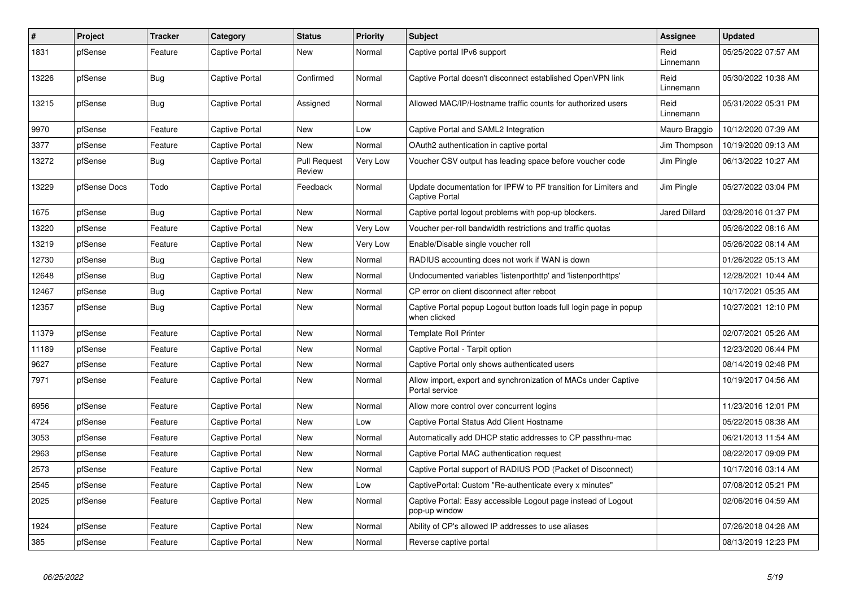| $\vert$ # | Project      | <b>Tracker</b> | Category              | <b>Status</b>                 | <b>Priority</b> | <b>Subject</b>                                                                           | <b>Assignee</b>   | <b>Updated</b>      |
|-----------|--------------|----------------|-----------------------|-------------------------------|-----------------|------------------------------------------------------------------------------------------|-------------------|---------------------|
| 1831      | pfSense      | Feature        | Captive Portal        | <b>New</b>                    | Normal          | Captive portal IPv6 support                                                              | Reid<br>Linnemann | 05/25/2022 07:57 AM |
| 13226     | pfSense      | Bug            | Captive Portal        | Confirmed                     | Normal          | Captive Portal doesn't disconnect established OpenVPN link                               | Reid<br>Linnemann | 05/30/2022 10:38 AM |
| 13215     | pfSense      | <b>Bug</b>     | Captive Portal        | Assigned                      | Normal          | Allowed MAC/IP/Hostname traffic counts for authorized users                              | Reid<br>Linnemann | 05/31/2022 05:31 PM |
| 9970      | pfSense      | Feature        | Captive Portal        | <b>New</b>                    | Low             | Captive Portal and SAML2 Integration                                                     | Mauro Braggio     | 10/12/2020 07:39 AM |
| 3377      | pfSense      | Feature        | Captive Portal        | <b>New</b>                    | Normal          | OAuth2 authentication in captive portal                                                  | Jim Thompson      | 10/19/2020 09:13 AM |
| 13272     | pfSense      | <b>Bug</b>     | Captive Portal        | <b>Pull Request</b><br>Review | Very Low        | Voucher CSV output has leading space before voucher code                                 | Jim Pingle        | 06/13/2022 10:27 AM |
| 13229     | pfSense Docs | Todo           | Captive Portal        | Feedback                      | Normal          | Update documentation for IPFW to PF transition for Limiters and<br><b>Captive Portal</b> | Jim Pingle        | 05/27/2022 03:04 PM |
| 1675      | pfSense      | Bug            | Captive Portal        | <b>New</b>                    | Normal          | Captive portal logout problems with pop-up blockers.                                     | Jared Dillard     | 03/28/2016 01:37 PM |
| 13220     | pfSense      | Feature        | Captive Portal        | <b>New</b>                    | Very Low        | Voucher per-roll bandwidth restrictions and traffic quotas                               |                   | 05/26/2022 08:16 AM |
| 13219     | pfSense      | Feature        | Captive Portal        | <b>New</b>                    | Very Low        | Enable/Disable single voucher roll                                                       |                   | 05/26/2022 08:14 AM |
| 12730     | pfSense      | <b>Bug</b>     | Captive Portal        | <b>New</b>                    | Normal          | RADIUS accounting does not work if WAN is down                                           |                   | 01/26/2022 05:13 AM |
| 12648     | pfSense      | Bug            | Captive Portal        | <b>New</b>                    | Normal          | Undocumented variables 'listenporthttp' and 'listenporthttps'                            |                   | 12/28/2021 10:44 AM |
| 12467     | pfSense      | Bug            | Captive Portal        | New                           | Normal          | CP error on client disconnect after reboot                                               |                   | 10/17/2021 05:35 AM |
| 12357     | pfSense      | <b>Bug</b>     | Captive Portal        | <b>New</b>                    | Normal          | Captive Portal popup Logout button loads full login page in popup<br>when clicked        |                   | 10/27/2021 12:10 PM |
| 11379     | pfSense      | Feature        | Captive Portal        | <b>New</b>                    | Normal          | <b>Template Roll Printer</b>                                                             |                   | 02/07/2021 05:26 AM |
| 11189     | pfSense      | Feature        | Captive Portal        | <b>New</b>                    | Normal          | Captive Portal - Tarpit option                                                           |                   | 12/23/2020 06:44 PM |
| 9627      | pfSense      | Feature        | Captive Portal        | <b>New</b>                    | Normal          | Captive Portal only shows authenticated users                                            |                   | 08/14/2019 02:48 PM |
| 7971      | pfSense      | Feature        | Captive Portal        | <b>New</b>                    | Normal          | Allow import, export and synchronization of MACs under Captive<br>Portal service         |                   | 10/19/2017 04:56 AM |
| 6956      | pfSense      | Feature        | Captive Portal        | New                           | Normal          | Allow more control over concurrent logins                                                |                   | 11/23/2016 12:01 PM |
| 4724      | pfSense      | Feature        | Captive Portal        | <b>New</b>                    | Low             | Captive Portal Status Add Client Hostname                                                |                   | 05/22/2015 08:38 AM |
| 3053      | pfSense      | Feature        | <b>Captive Portal</b> | <b>New</b>                    | Normal          | Automatically add DHCP static addresses to CP passthru-mac                               |                   | 06/21/2013 11:54 AM |
| 2963      | pfSense      | Feature        | Captive Portal        | New                           | Normal          | Captive Portal MAC authentication request                                                |                   | 08/22/2017 09:09 PM |
| 2573      | pfSense      | Feature        | Captive Portal        | <b>New</b>                    | Normal          | Captive Portal support of RADIUS POD (Packet of Disconnect)                              |                   | 10/17/2016 03:14 AM |
| 2545      | pfSense      | Feature        | Captive Portal        | <b>New</b>                    | Low             | CaptivePortal: Custom "Re-authenticate every x minutes"                                  |                   | 07/08/2012 05:21 PM |
| 2025      | pfSense      | Feature        | Captive Portal        | <b>New</b>                    | Normal          | Captive Portal: Easy accessible Logout page instead of Logout<br>pop-up window           |                   | 02/06/2016 04:59 AM |
| 1924      | pfSense      | Feature        | Captive Portal        | <b>New</b>                    | Normal          | Ability of CP's allowed IP addresses to use aliases                                      |                   | 07/26/2018 04:28 AM |
| 385       | pfSense      | Feature        | Captive Portal        | New                           | Normal          | Reverse captive portal                                                                   |                   | 08/13/2019 12:23 PM |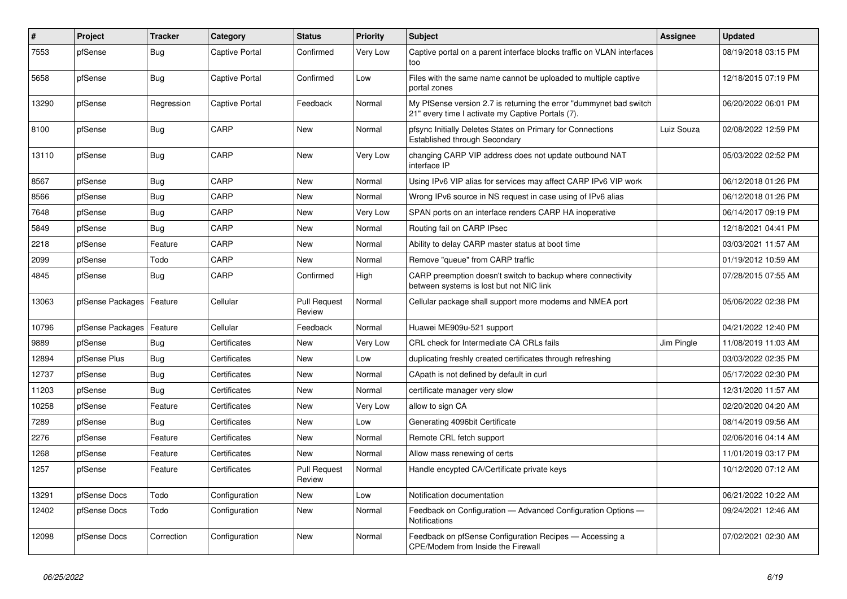| #     | Project                    | <b>Tracker</b> | Category       | <b>Status</b>                 | <b>Priority</b> | <b>Subject</b>                                                                                                          | <b>Assignee</b> | <b>Updated</b>      |
|-------|----------------------------|----------------|----------------|-------------------------------|-----------------|-------------------------------------------------------------------------------------------------------------------------|-----------------|---------------------|
| 7553  | pfSense                    | Bug            | Captive Portal | Confirmed                     | <b>Very Low</b> | Captive portal on a parent interface blocks traffic on VLAN interfaces<br>too                                           |                 | 08/19/2018 03:15 PM |
| 5658  | pfSense                    | Bug            | Captive Portal | Confirmed                     | Low             | Files with the same name cannot be uploaded to multiple captive<br>portal zones                                         |                 | 12/18/2015 07:19 PM |
| 13290 | pfSense                    | Regression     | Captive Portal | Feedback                      | Normal          | My PfSense version 2.7 is returning the error "dummynet bad switch<br>21" every time I activate my Captive Portals (7). |                 | 06/20/2022 06:01 PM |
| 8100  | pfSense                    | <b>Bug</b>     | CARP           | <b>New</b>                    | Normal          | pfsync Initially Deletes States on Primary for Connections<br><b>Established through Secondary</b>                      | Luiz Souza      | 02/08/2022 12:59 PM |
| 13110 | pfSense                    | <b>Bug</b>     | CARP           | New                           | Very Low        | changing CARP VIP address does not update outbound NAT<br>interface IP                                                  |                 | 05/03/2022 02:52 PM |
| 8567  | pfSense                    | <b>Bug</b>     | CARP           | <b>New</b>                    | Normal          | Using IPv6 VIP alias for services may affect CARP IPv6 VIP work                                                         |                 | 06/12/2018 01:26 PM |
| 8566  | pfSense                    | <b>Bug</b>     | CARP           | <b>New</b>                    | Normal          | Wrong IPv6 source in NS request in case using of IPv6 alias                                                             |                 | 06/12/2018 01:26 PM |
| 7648  | pfSense                    | Bug            | CARP           | <b>New</b>                    | Very Low        | SPAN ports on an interface renders CARP HA inoperative                                                                  |                 | 06/14/2017 09:19 PM |
| 5849  | pfSense                    | <b>Bug</b>     | CARP           | <b>New</b>                    | Normal          | Routing fail on CARP IPsec                                                                                              |                 | 12/18/2021 04:41 PM |
| 2218  | pfSense                    | Feature        | CARP           | <b>New</b>                    | Normal          | Ability to delay CARP master status at boot time                                                                        |                 | 03/03/2021 11:57 AM |
| 2099  | pfSense                    | Todo           | CARP           | <b>New</b>                    | Normal          | Remove "queue" from CARP traffic                                                                                        |                 | 01/19/2012 10:59 AM |
| 4845  | pfSense                    | <b>Bug</b>     | CARP           | Confirmed                     | High            | CARP preemption doesn't switch to backup where connectivity<br>between systems is lost but not NIC link                 |                 | 07/28/2015 07:55 AM |
| 13063 | pfSense Packages   Feature |                | Cellular       | <b>Pull Request</b><br>Review | Normal          | Cellular package shall support more modems and NMEA port                                                                |                 | 05/06/2022 02:38 PM |
| 10796 | pfSense Packages           | Feature        | Cellular       | Feedback                      | Normal          | Huawei ME909u-521 support                                                                                               |                 | 04/21/2022 12:40 PM |
| 9889  | pfSense                    | Bug            | Certificates   | <b>New</b>                    | Very Low        | CRL check for Intermediate CA CRLs fails                                                                                | Jim Pingle      | 11/08/2019 11:03 AM |
| 12894 | pfSense Plus               | <b>Bug</b>     | Certificates   | <b>New</b>                    | Low             | duplicating freshly created certificates through refreshing                                                             |                 | 03/03/2022 02:35 PM |
| 12737 | pfSense                    | <b>Bug</b>     | Certificates   | New                           | Normal          | CApath is not defined by default in curl                                                                                |                 | 05/17/2022 02:30 PM |
| 11203 | pfSense                    | <b>Bug</b>     | Certificates   | <b>New</b>                    | Normal          | certificate manager very slow                                                                                           |                 | 12/31/2020 11:57 AM |
| 10258 | pfSense                    | Feature        | Certificates   | <b>New</b>                    | <b>Very Low</b> | allow to sign CA                                                                                                        |                 | 02/20/2020 04:20 AM |
| 7289  | pfSense                    | <b>Bug</b>     | Certificates   | <b>New</b>                    | Low             | Generating 4096bit Certificate                                                                                          |                 | 08/14/2019 09:56 AM |
| 2276  | pfSense                    | Feature        | Certificates   | <b>New</b>                    | Normal          | Remote CRL fetch support                                                                                                |                 | 02/06/2016 04:14 AM |
| 1268  | pfSense                    | Feature        | Certificates   | <b>New</b>                    | Normal          | Allow mass renewing of certs                                                                                            |                 | 11/01/2019 03:17 PM |
| 1257  | pfSense                    | Feature        | Certificates   | <b>Pull Request</b><br>Review | Normal          | Handle encypted CA/Certificate private keys                                                                             |                 | 10/12/2020 07:12 AM |
| 13291 | pfSense Docs               | Todo           | Configuration  | <b>New</b>                    | Low             | Notification documentation                                                                                              |                 | 06/21/2022 10:22 AM |
| 12402 | pfSense Docs               | Todo           | Configuration  | New                           | Normal          | Feedback on Configuration - Advanced Configuration Options -<br>Notifications                                           |                 | 09/24/2021 12:46 AM |
| 12098 | pfSense Docs               | Correction     | Configuration  | <b>New</b>                    | Normal          | Feedback on pfSense Configuration Recipes - Accessing a<br>CPE/Modem from Inside the Firewall                           |                 | 07/02/2021 02:30 AM |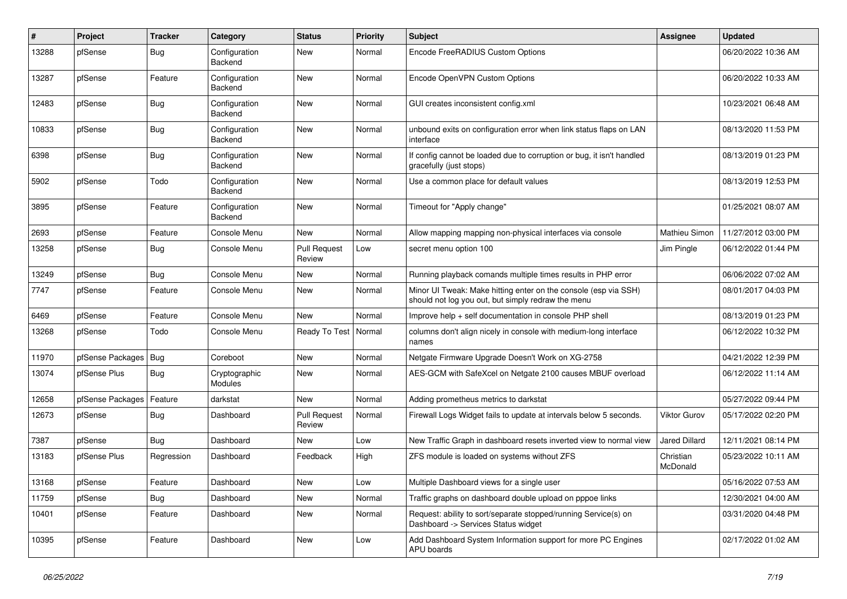| #     | Project          | <b>Tracker</b> | Category                        | <b>Status</b>                 | <b>Priority</b> | Subject                                                                                                               | <b>Assignee</b>       | <b>Updated</b>      |
|-------|------------------|----------------|---------------------------------|-------------------------------|-----------------|-----------------------------------------------------------------------------------------------------------------------|-----------------------|---------------------|
| 13288 | pfSense          | <b>Bug</b>     | Configuration<br>Backend        | <b>New</b>                    | Normal          | Encode FreeRADIUS Custom Options                                                                                      |                       | 06/20/2022 10:36 AM |
| 13287 | pfSense          | Feature        | Configuration<br>Backend        | <b>New</b>                    | Normal          | Encode OpenVPN Custom Options                                                                                         |                       | 06/20/2022 10:33 AM |
| 12483 | pfSense          | Bug            | Configuration<br>Backend        | New                           | Normal          | GUI creates inconsistent config.xml                                                                                   |                       | 10/23/2021 06:48 AM |
| 10833 | pfSense          | <b>Bug</b>     | Configuration<br>Backend        | New                           | Normal          | unbound exits on configuration error when link status flaps on LAN<br>interface                                       |                       | 08/13/2020 11:53 PM |
| 6398  | pfSense          | <b>Bug</b>     | Configuration<br>Backend        | New                           | Normal          | If config cannot be loaded due to corruption or bug, it isn't handled<br>gracefully (just stops)                      |                       | 08/13/2019 01:23 PM |
| 5902  | pfSense          | Todo           | Configuration<br>Backend        | New                           | Normal          | Use a common place for default values                                                                                 |                       | 08/13/2019 12:53 PM |
| 3895  | pfSense          | Feature        | Configuration<br>Backend        | New                           | Normal          | Timeout for "Apply change"                                                                                            |                       | 01/25/2021 08:07 AM |
| 2693  | pfSense          | Feature        | Console Menu                    | New                           | Normal          | Allow mapping mapping non-physical interfaces via console                                                             | Mathieu Simon         | 11/27/2012 03:00 PM |
| 13258 | pfSense          | Bug            | Console Menu                    | <b>Pull Request</b><br>Review | Low             | secret menu option 100                                                                                                | Jim Pingle            | 06/12/2022 01:44 PM |
| 13249 | pfSense          | <b>Bug</b>     | Console Menu                    | New                           | Normal          | Running playback comands multiple times results in PHP error                                                          |                       | 06/06/2022 07:02 AM |
| 7747  | pfSense          | Feature        | Console Menu                    | New                           | Normal          | Minor UI Tweak: Make hitting enter on the console (esp via SSH)<br>should not log you out, but simply redraw the menu |                       | 08/01/2017 04:03 PM |
| 6469  | pfSense          | Feature        | Console Menu                    | <b>New</b>                    | Normal          | Improve help + self documentation in console PHP shell                                                                |                       | 08/13/2019 01:23 PM |
| 13268 | pfSense          | Todo           | Console Menu                    | Ready To Test                 | Normal          | columns don't align nicely in console with medium-long interface<br>names                                             |                       | 06/12/2022 10:32 PM |
| 11970 | pfSense Packages | <b>Bug</b>     | Coreboot                        | New                           | Normal          | Netgate Firmware Upgrade Doesn't Work on XG-2758                                                                      |                       | 04/21/2022 12:39 PM |
| 13074 | pfSense Plus     | Bug            | Cryptographic<br><b>Modules</b> | New                           | Normal          | AES-GCM with SafeXcel on Netgate 2100 causes MBUF overload                                                            |                       | 06/12/2022 11:14 AM |
| 12658 | pfSense Packages | Feature        | darkstat                        | <b>New</b>                    | Normal          | Adding prometheus metrics to darkstat                                                                                 |                       | 05/27/2022 09:44 PM |
| 12673 | pfSense          | <b>Bug</b>     | Dashboard                       | <b>Pull Request</b><br>Review | Normal          | Firewall Logs Widget fails to update at intervals below 5 seconds.                                                    | <b>Viktor Gurov</b>   | 05/17/2022 02:20 PM |
| 7387  | pfSense          | Bug            | Dashboard                       | New                           | Low             | New Traffic Graph in dashboard resets inverted view to normal view                                                    | <b>Jared Dillard</b>  | 12/11/2021 08:14 PM |
| 13183 | pfSense Plus     | Regression     | Dashboard                       | Feedback                      | High            | ZFS module is loaded on systems without ZFS                                                                           | Christian<br>McDonald | 05/23/2022 10:11 AM |
| 13168 | pfSense          | Feature        | Dashboard                       | New                           | Low             | Multiple Dashboard views for a single user                                                                            |                       | 05/16/2022 07:53 AM |
| 11759 | pfSense          | <b>Bug</b>     | Dashboard                       | New                           | Normal          | Traffic graphs on dashboard double upload on pppoe links                                                              |                       | 12/30/2021 04:00 AM |
| 10401 | pfSense          | Feature        | Dashboard                       | New                           | Normal          | Request: ability to sort/separate stopped/running Service(s) on<br>Dashboard -> Services Status widget                |                       | 03/31/2020 04:48 PM |
| 10395 | pfSense          | Feature        | Dashboard                       | New                           | Low             | Add Dashboard System Information support for more PC Engines<br>APU boards                                            |                       | 02/17/2022 01:02 AM |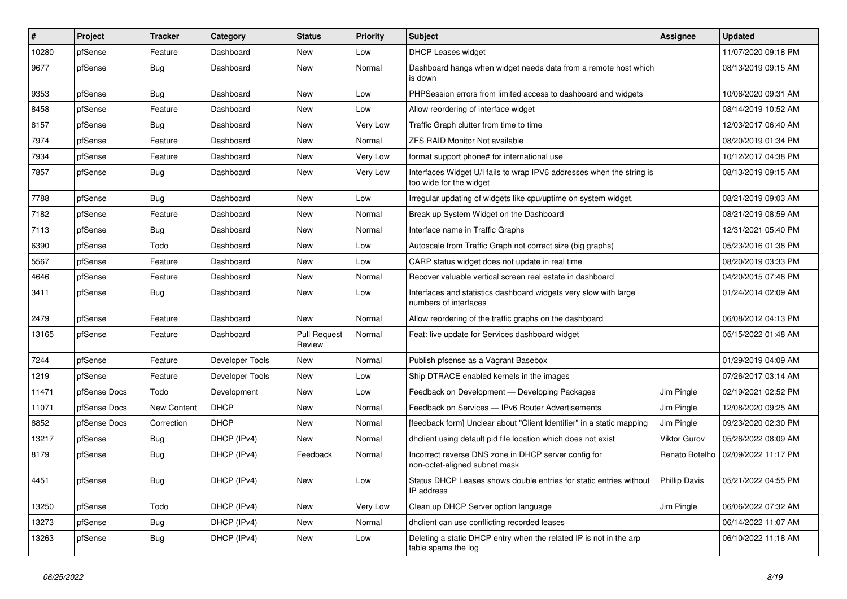| #     | Project      | Tracker     | Category        | <b>Status</b>                 | <b>Priority</b> | <b>Subject</b>                                                                                   | <b>Assignee</b>     | <b>Updated</b>      |
|-------|--------------|-------------|-----------------|-------------------------------|-----------------|--------------------------------------------------------------------------------------------------|---------------------|---------------------|
| 10280 | pfSense      | Feature     | Dashboard       | New                           | Low             | <b>DHCP Leases widget</b>                                                                        |                     | 11/07/2020 09:18 PM |
| 9677  | pfSense      | <b>Bug</b>  | Dashboard       | New                           | Normal          | Dashboard hangs when widget needs data from a remote host which<br>is down                       |                     | 08/13/2019 09:15 AM |
| 9353  | pfSense      | <b>Bug</b>  | Dashboard       | <b>New</b>                    | Low             | PHPSession errors from limited access to dashboard and widgets                                   |                     | 10/06/2020 09:31 AM |
| 8458  | pfSense      | Feature     | Dashboard       | <b>New</b>                    | Low             | Allow reordering of interface widget                                                             |                     | 08/14/2019 10:52 AM |
| 8157  | pfSense      | <b>Bug</b>  | Dashboard       | New                           | Very Low        | Traffic Graph clutter from time to time                                                          |                     | 12/03/2017 06:40 AM |
| 7974  | pfSense      | Feature     | Dashboard       | New                           | Normal          | <b>ZFS RAID Monitor Not available</b>                                                            |                     | 08/20/2019 01:34 PM |
| 7934  | pfSense      | Feature     | Dashboard       | New                           | Very Low        | format support phone# for international use                                                      |                     | 10/12/2017 04:38 PM |
| 7857  | pfSense      | <b>Bug</b>  | Dashboard       | New                           | Very Low        | Interfaces Widget U/I fails to wrap IPV6 addresses when the string is<br>too wide for the widget |                     | 08/13/2019 09:15 AM |
| 7788  | pfSense      | Bug         | Dashboard       | New                           | Low             | Irregular updating of widgets like cpu/uptime on system widget.                                  |                     | 08/21/2019 09:03 AM |
| 7182  | pfSense      | Feature     | Dashboard       | New                           | Normal          | Break up System Widget on the Dashboard                                                          |                     | 08/21/2019 08:59 AM |
| 7113  | pfSense      | <b>Bug</b>  | Dashboard       | New                           | Normal          | Interface name in Traffic Graphs                                                                 |                     | 12/31/2021 05:40 PM |
| 6390  | pfSense      | Todo        | Dashboard       | New                           | Low             | Autoscale from Traffic Graph not correct size (big graphs)                                       |                     | 05/23/2016 01:38 PM |
| 5567  | pfSense      | Feature     | Dashboard       | New                           | Low             | CARP status widget does not update in real time                                                  |                     | 08/20/2019 03:33 PM |
| 4646  | pfSense      | Feature     | Dashboard       | New                           | Normal          | Recover valuable vertical screen real estate in dashboard                                        |                     | 04/20/2015 07:46 PM |
| 3411  | pfSense      | <b>Bug</b>  | Dashboard       | New                           | Low             | Interfaces and statistics dashboard widgets very slow with large<br>numbers of interfaces        |                     | 01/24/2014 02:09 AM |
| 2479  | pfSense      | Feature     | Dashboard       | <b>New</b>                    | Normal          | Allow reordering of the traffic graphs on the dashboard                                          |                     | 06/08/2012 04:13 PM |
| 13165 | pfSense      | Feature     | Dashboard       | <b>Pull Request</b><br>Review | Normal          | Feat: live update for Services dashboard widget                                                  |                     | 05/15/2022 01:48 AM |
| 7244  | pfSense      | Feature     | Developer Tools | New                           | Normal          | Publish pfsense as a Vagrant Basebox                                                             |                     | 01/29/2019 04:09 AM |
| 1219  | pfSense      | Feature     | Developer Tools | New                           | Low             | Ship DTRACE enabled kernels in the images                                                        |                     | 07/26/2017 03:14 AM |
| 11471 | pfSense Docs | Todo        | Development     | New                           | Low             | Feedback on Development - Developing Packages                                                    | Jim Pingle          | 02/19/2021 02:52 PM |
| 11071 | pfSense Docs | New Content | <b>DHCP</b>     | New                           | Normal          | Feedback on Services - IPv6 Router Advertisements                                                | Jim Pingle          | 12/08/2020 09:25 AM |
| 8852  | pfSense Docs | Correction  | <b>DHCP</b>     | <b>New</b>                    | Normal          | [feedback form] Unclear about "Client Identifier" in a static mapping                            | Jim Pingle          | 09/23/2020 02:30 PM |
| 13217 | pfSense      | Bug         | DHCP (IPv4)     | <b>New</b>                    | Normal          | dhclient using default pid file location which does not exist                                    | <b>Viktor Gurov</b> | 05/26/2022 08:09 AM |
| 8179  | pfSense      | <b>Bug</b>  | DHCP (IPv4)     | Feedback                      | Normal          | Incorrect reverse DNS zone in DHCP server config for<br>non-octet-aligned subnet mask            | Renato Botelho      | 02/09/2022 11:17 PM |
| 4451  | pfSense      | Bug         | DHCP (IPv4)     | New                           | Low             | Status DHCP Leases shows double entries for static entries without<br>IP address                 | Phillip Davis       | 05/21/2022 04:55 PM |
| 13250 | pfSense      | Todo        | DHCP (IPv4)     | New                           | Very Low        | Clean up DHCP Server option language                                                             | Jim Pingle          | 06/06/2022 07:32 AM |
| 13273 | pfSense      | <b>Bug</b>  | DHCP (IPv4)     | New                           | Normal          | dhclient can use conflicting recorded leases                                                     |                     | 06/14/2022 11:07 AM |
| 13263 | pfSense      | <b>Bug</b>  | DHCP (IPv4)     | New                           | Low             | Deleting a static DHCP entry when the related IP is not in the arp<br>table spams the log        |                     | 06/10/2022 11:18 AM |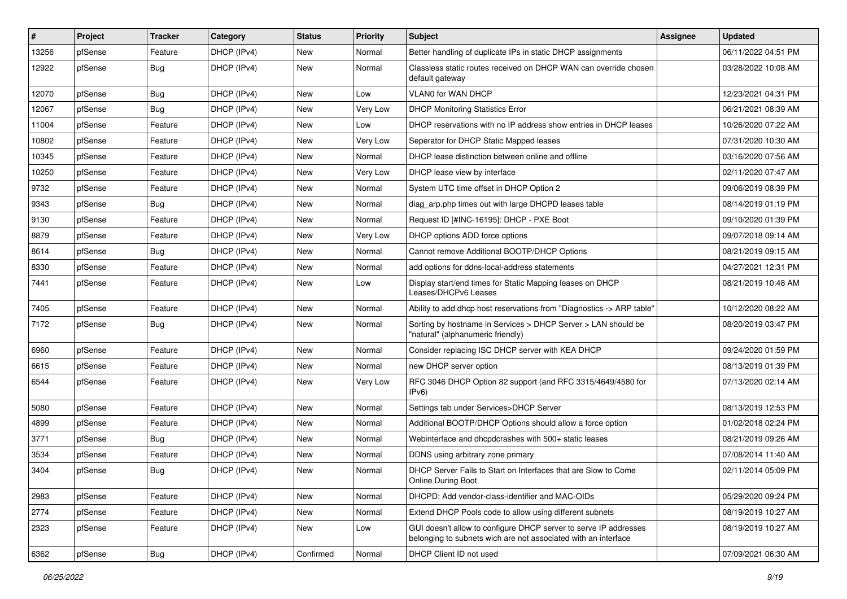| $\#$  | Project | <b>Tracker</b> | Category    | <b>Status</b> | <b>Priority</b> | <b>Subject</b>                                                                                                                     | <b>Assignee</b> | <b>Updated</b>      |
|-------|---------|----------------|-------------|---------------|-----------------|------------------------------------------------------------------------------------------------------------------------------------|-----------------|---------------------|
| 13256 | pfSense | Feature        | DHCP (IPv4) | New           | Normal          | Better handling of duplicate IPs in static DHCP assignments                                                                        |                 | 06/11/2022 04:51 PM |
| 12922 | pfSense | <b>Bug</b>     | DHCP (IPv4) | New           | Normal          | Classless static routes received on DHCP WAN can override chosen<br>default gateway                                                |                 | 03/28/2022 10:08 AM |
| 12070 | pfSense | Bug            | DHCP (IPv4) | <b>New</b>    | Low             | <b>VLAN0 for WAN DHCP</b>                                                                                                          |                 | 12/23/2021 04:31 PM |
| 12067 | pfSense | Bug            | DHCP (IPv4) | <b>New</b>    | Very Low        | <b>DHCP Monitoring Statistics Error</b>                                                                                            |                 | 06/21/2021 08:39 AM |
| 11004 | pfSense | Feature        | DHCP (IPv4) | New           | Low             | DHCP reservations with no IP address show entries in DHCP leases                                                                   |                 | 10/26/2020 07:22 AM |
| 10802 | pfSense | Feature        | DHCP (IPv4) | New           | Very Low        | Seperator for DHCP Static Mapped leases                                                                                            |                 | 07/31/2020 10:30 AM |
| 10345 | pfSense | Feature        | DHCP (IPv4) | New           | Normal          | DHCP lease distinction between online and offline                                                                                  |                 | 03/16/2020 07:56 AM |
| 10250 | pfSense | Feature        | DHCP (IPv4) | New           | Very Low        | DHCP lease view by interface                                                                                                       |                 | 02/11/2020 07:47 AM |
| 9732  | pfSense | Feature        | DHCP (IPv4) | <b>New</b>    | Normal          | System UTC time offset in DHCP Option 2                                                                                            |                 | 09/06/2019 08:39 PM |
| 9343  | pfSense | Bug            | DHCP (IPv4) | New           | Normal          | diag arp.php times out with large DHCPD leases table                                                                               |                 | 08/14/2019 01:19 PM |
| 9130  | pfSense | Feature        | DHCP (IPv4) | New           | Normal          | Request ID [#INC-16195]: DHCP - PXE Boot                                                                                           |                 | 09/10/2020 01:39 PM |
| 8879  | pfSense | Feature        | DHCP (IPv4) | New           | Very Low        | DHCP options ADD force options                                                                                                     |                 | 09/07/2018 09:14 AM |
| 8614  | pfSense | Bug            | DHCP (IPv4) | New           | Normal          | Cannot remove Additional BOOTP/DHCP Options                                                                                        |                 | 08/21/2019 09:15 AM |
| 8330  | pfSense | Feature        | DHCP (IPv4) | New           | Normal          | add options for ddns-local-address statements                                                                                      |                 | 04/27/2021 12:31 PM |
| 7441  | pfSense | Feature        | DHCP (IPv4) | New           | Low             | Display start/end times for Static Mapping leases on DHCP<br>Leases/DHCPv6 Leases                                                  |                 | 08/21/2019 10:48 AM |
| 7405  | pfSense | Feature        | DHCP (IPv4) | <b>New</b>    | Normal          | Ability to add dhcp host reservations from "Diagnostics -> ARP table"                                                              |                 | 10/12/2020 08:22 AM |
| 7172  | pfSense | <b>Bug</b>     | DHCP (IPv4) | New           | Normal          | Sorting by hostname in Services > DHCP Server > LAN should be<br>"natural" (alphanumeric friendly)                                 |                 | 08/20/2019 03:47 PM |
| 6960  | pfSense | Feature        | DHCP (IPv4) | <b>New</b>    | Normal          | Consider replacing ISC DHCP server with KEA DHCP                                                                                   |                 | 09/24/2020 01:59 PM |
| 6615  | pfSense | Feature        | DHCP (IPv4) | New           | Normal          | new DHCP server option                                                                                                             |                 | 08/13/2019 01:39 PM |
| 6544  | pfSense | Feature        | DHCP (IPv4) | New           | Very Low        | RFC 3046 DHCP Option 82 support (and RFC 3315/4649/4580 for<br>IPv6                                                                |                 | 07/13/2020 02:14 AM |
| 5080  | pfSense | Feature        | DHCP (IPv4) | <b>New</b>    | Normal          | Settings tab under Services>DHCP Server                                                                                            |                 | 08/13/2019 12:53 PM |
| 4899  | pfSense | Feature        | DHCP (IPv4) | New           | Normal          | Additional BOOTP/DHCP Options should allow a force option                                                                          |                 | 01/02/2018 02:24 PM |
| 3771  | pfSense | <b>Bug</b>     | DHCP (IPv4) | New           | Normal          | Webinterface and dhcpdcrashes with 500+ static leases                                                                              |                 | 08/21/2019 09:26 AM |
| 3534  | pfSense | Feature        | DHCP (IPv4) | New           | Normal          | DDNS using arbitrary zone primary                                                                                                  |                 | 07/08/2014 11:40 AM |
| 3404  | pfSense | <b>Bug</b>     | DHCP (IPv4) | New           | Normal          | DHCP Server Fails to Start on Interfaces that are Slow to Come<br>Online During Boot                                               |                 | 02/11/2014 05:09 PM |
| 2983  | pfSense | Feature        | DHCP (IPv4) | New           | Normal          | DHCPD: Add vendor-class-identifier and MAC-OIDs                                                                                    |                 | 05/29/2020 09:24 PM |
| 2774  | pfSense | Feature        | DHCP (IPv4) | New           | Normal          | Extend DHCP Pools code to allow using different subnets                                                                            |                 | 08/19/2019 10:27 AM |
| 2323  | pfSense | Feature        | DHCP (IPv4) | New           | Low             | GUI doesn't allow to configure DHCP server to serve IP addresses<br>belonging to subnets wich are not associated with an interface |                 | 08/19/2019 10:27 AM |
| 6362  | pfSense | <b>Bug</b>     | DHCP (IPv4) | Confirmed     | Normal          | DHCP Client ID not used                                                                                                            |                 | 07/09/2021 06:30 AM |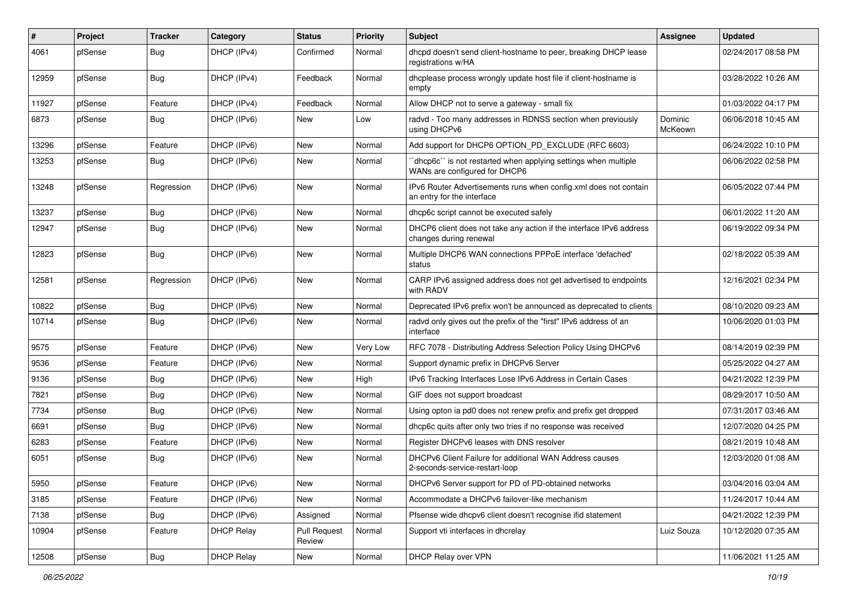| #     | Project | <b>Tracker</b> | Category          | <b>Status</b>                 | <b>Priority</b> | <b>Subject</b>                                                                                  | <b>Assignee</b>    | <b>Updated</b>      |
|-------|---------|----------------|-------------------|-------------------------------|-----------------|-------------------------------------------------------------------------------------------------|--------------------|---------------------|
| 4061  | pfSense | <b>Bug</b>     | DHCP (IPv4)       | Confirmed                     | Normal          | dhcpd doesn't send client-hostname to peer, breaking DHCP lease<br>registrations w/HA           |                    | 02/24/2017 08:58 PM |
| 12959 | pfSense | <b>Bug</b>     | DHCP (IPv4)       | Feedback                      | Normal          | dhcplease process wrongly update host file if client-hostname is<br>empty                       |                    | 03/28/2022 10:26 AM |
| 11927 | pfSense | Feature        | DHCP (IPv4)       | Feedback                      | Normal          | Allow DHCP not to serve a gateway - small fix                                                   |                    | 01/03/2022 04:17 PM |
| 6873  | pfSense | <b>Bug</b>     | DHCP (IPv6)       | New                           | Low             | radvd - Too many addresses in RDNSS section when previously<br>using DHCPv6                     | Dominic<br>McKeown | 06/06/2018 10:45 AM |
| 13296 | pfSense | Feature        | DHCP (IPv6)       | <b>New</b>                    | Normal          | Add support for DHCP6 OPTION_PD_EXCLUDE (RFC 6603)                                              |                    | 06/24/2022 10:10 PM |
| 13253 | pfSense | <b>Bug</b>     | DHCP (IPv6)       | New                           | Normal          | 'dhcp6c' is not restarted when applying settings when multiple<br>WANs are configured for DHCP6 |                    | 06/06/2022 02:58 PM |
| 13248 | pfSense | Regression     | DHCP (IPv6)       | New                           | Normal          | IPv6 Router Advertisements runs when config.xml does not contain<br>an entry for the interface  |                    | 06/05/2022 07:44 PM |
| 13237 | pfSense | <b>Bug</b>     | DHCP (IPv6)       | <b>New</b>                    | Normal          | dhcp6c script cannot be executed safely                                                         |                    | 06/01/2022 11:20 AM |
| 12947 | pfSense | <b>Bug</b>     | DHCP (IPv6)       | New                           | Normal          | DHCP6 client does not take any action if the interface IPv6 address<br>changes during renewal   |                    | 06/19/2022 09:34 PM |
| 12823 | pfSense | Bug            | DHCP (IPv6)       | New                           | Normal          | Multiple DHCP6 WAN connections PPPoE interface 'defached'<br>status                             |                    | 02/18/2022 05:39 AM |
| 12581 | pfSense | Regression     | DHCP (IPv6)       | New                           | Normal          | CARP IPv6 assigned address does not get advertised to endpoints<br>with RADV                    |                    | 12/16/2021 02:34 PM |
| 10822 | pfSense | Bug            | DHCP (IPv6)       | New                           | Normal          | Deprecated IPv6 prefix won't be announced as deprecated to clients                              |                    | 08/10/2020 09:23 AM |
| 10714 | pfSense | Bug            | DHCP (IPv6)       | New                           | Normal          | radvd only gives out the prefix of the "first" IPv6 address of an<br>interface                  |                    | 10/06/2020 01:03 PM |
| 9575  | pfSense | Feature        | DHCP (IPv6)       | <b>New</b>                    | Very Low        | RFC 7078 - Distributing Address Selection Policy Using DHCPv6                                   |                    | 08/14/2019 02:39 PM |
| 9536  | pfSense | Feature        | DHCP (IPv6)       | New                           | Normal          | Support dynamic prefix in DHCPv6 Server                                                         |                    | 05/25/2022 04:27 AM |
| 9136  | pfSense | <b>Bug</b>     | DHCP (IPv6)       | New                           | High            | IPv6 Tracking Interfaces Lose IPv6 Address in Certain Cases                                     |                    | 04/21/2022 12:39 PM |
| 7821  | pfSense | <b>Bug</b>     | DHCP (IPv6)       | New                           | Normal          | GIF does not support broadcast                                                                  |                    | 08/29/2017 10:50 AM |
| 7734  | pfSense | <b>Bug</b>     | DHCP (IPv6)       | <b>New</b>                    | Normal          | Using opton ia pd0 does not renew prefix and prefix get dropped                                 |                    | 07/31/2017 03:46 AM |
| 6691  | pfSense | <b>Bug</b>     | DHCP (IPv6)       | New                           | Normal          | dhcp6c quits after only two tries if no response was received                                   |                    | 12/07/2020 04:25 PM |
| 6283  | pfSense | Feature        | DHCP (IPv6)       | New                           | Normal          | Register DHCPv6 leases with DNS resolver                                                        |                    | 08/21/2019 10:48 AM |
| 6051  | pfSense | <b>Bug</b>     | DHCP (IPv6)       | New                           | Normal          | DHCPv6 Client Failure for additional WAN Address causes<br>2-seconds-service-restart-loop       |                    | 12/03/2020 01:08 AM |
| 5950  | pfSense | Feature        | DHCP (IPv6)       | New                           | Normal          | DHCPv6 Server support for PD of PD-obtained networks                                            |                    | 03/04/2016 03:04 AM |
| 3185  | pfSense | Feature        | DHCP (IPv6)       | New                           | Normal          | Accommodate a DHCPv6 failover-like mechanism                                                    |                    | 11/24/2017 10:44 AM |
| 7138  | pfSense | <b>Bug</b>     | DHCP (IPv6)       | Assigned                      | Normal          | Pfsense wide dhcpv6 client doesn't recognise ifid statement                                     |                    | 04/21/2022 12:39 PM |
| 10904 | pfSense | Feature        | <b>DHCP Relay</b> | <b>Pull Request</b><br>Review | Normal          | Support vti interfaces in dhcrelay                                                              | Luiz Souza         | 10/12/2020 07:35 AM |
| 12508 | pfSense | <b>Bug</b>     | <b>DHCP Relay</b> | New                           | Normal          | DHCP Relay over VPN                                                                             |                    | 11/06/2021 11:25 AM |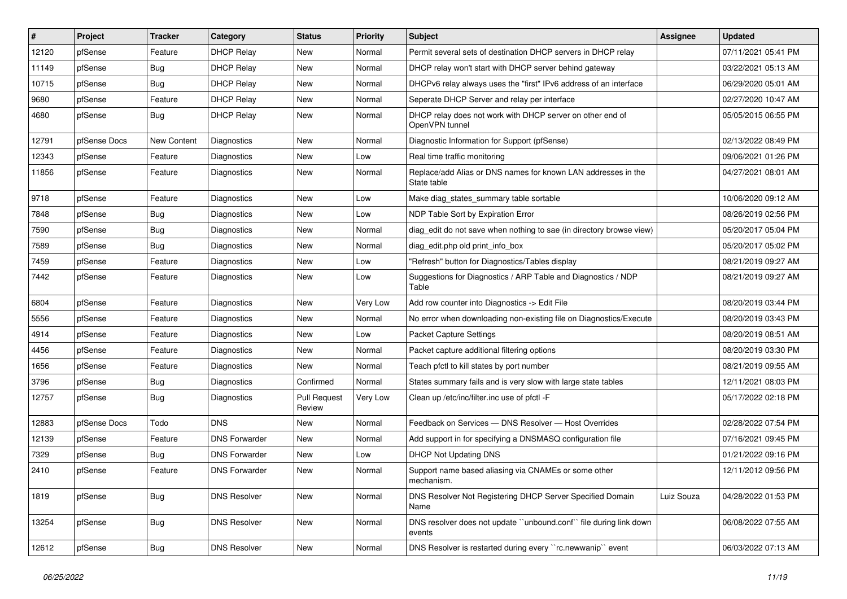| $\pmb{\#}$ | Project      | <b>Tracker</b> | Category             | <b>Status</b>                 | <b>Priority</b> | Subject                                                                      | Assignee   | <b>Updated</b>      |
|------------|--------------|----------------|----------------------|-------------------------------|-----------------|------------------------------------------------------------------------------|------------|---------------------|
| 12120      | pfSense      | Feature        | <b>DHCP Relay</b>    | New                           | Normal          | Permit several sets of destination DHCP servers in DHCP relay                |            | 07/11/2021 05:41 PM |
| 11149      | pfSense      | <b>Bug</b>     | <b>DHCP Relay</b>    | <b>New</b>                    | Normal          | DHCP relay won't start with DHCP server behind gateway                       |            | 03/22/2021 05:13 AM |
| 10715      | pfSense      | <b>Bug</b>     | <b>DHCP Relay</b>    | New                           | Normal          | DHCPv6 relay always uses the "first" IPv6 address of an interface            |            | 06/29/2020 05:01 AM |
| 9680       | pfSense      | Feature        | <b>DHCP Relay</b>    | <b>New</b>                    | Normal          | Seperate DHCP Server and relay per interface                                 |            | 02/27/2020 10:47 AM |
| 4680       | pfSense      | <b>Bug</b>     | <b>DHCP Relay</b>    | New                           | Normal          | DHCP relay does not work with DHCP server on other end of<br>OpenVPN tunnel  |            | 05/05/2015 06:55 PM |
| 12791      | pfSense Docs | New Content    | Diagnostics          | <b>New</b>                    | Normal          | Diagnostic Information for Support (pfSense)                                 |            | 02/13/2022 08:49 PM |
| 12343      | pfSense      | Feature        | <b>Diagnostics</b>   | <b>New</b>                    | Low             | Real time traffic monitoring                                                 |            | 09/06/2021 01:26 PM |
| 11856      | pfSense      | Feature        | Diagnostics          | <b>New</b>                    | Normal          | Replace/add Alias or DNS names for known LAN addresses in the<br>State table |            | 04/27/2021 08:01 AM |
| 9718       | pfSense      | Feature        | Diagnostics          | New                           | Low             | Make diag states summary table sortable                                      |            | 10/06/2020 09:12 AM |
| 7848       | pfSense      | <b>Bug</b>     | Diagnostics          | <b>New</b>                    | Low             | NDP Table Sort by Expiration Error                                           |            | 08/26/2019 02:56 PM |
| 7590       | pfSense      | Bug            | <b>Diagnostics</b>   | <b>New</b>                    | Normal          | diag_edit do not save when nothing to sae (in directory browse view)         |            | 05/20/2017 05:04 PM |
| 7589       | pfSense      | <b>Bug</b>     | Diagnostics          | <b>New</b>                    | Normal          | diag_edit.php old print_info_box                                             |            | 05/20/2017 05:02 PM |
| 7459       | pfSense      | Feature        | <b>Diagnostics</b>   | <b>New</b>                    | Low             | "Refresh" button for Diagnostics/Tables display                              |            | 08/21/2019 09:27 AM |
| 7442       | pfSense      | Feature        | Diagnostics          | <b>New</b>                    | Low             | Suggestions for Diagnostics / ARP Table and Diagnostics / NDP<br>Table       |            | 08/21/2019 09:27 AM |
| 6804       | pfSense      | Feature        | <b>Diagnostics</b>   | <b>New</b>                    | Very Low        | Add row counter into Diagnostics -> Edit File                                |            | 08/20/2019 03:44 PM |
| 5556       | pfSense      | Feature        | Diagnostics          | New                           | Normal          | No error when downloading non-existing file on Diagnostics/Execute           |            | 08/20/2019 03:43 PM |
| 4914       | pfSense      | Feature        | Diagnostics          | <b>New</b>                    | Low             | <b>Packet Capture Settings</b>                                               |            | 08/20/2019 08:51 AM |
| 4456       | pfSense      | Feature        | Diagnostics          | <b>New</b>                    | Normal          | Packet capture additional filtering options                                  |            | 08/20/2019 03:30 PM |
| 1656       | pfSense      | Feature        | Diagnostics          | New                           | Normal          | Teach pfctl to kill states by port number                                    |            | 08/21/2019 09:55 AM |
| 3796       | pfSense      | <b>Bug</b>     | <b>Diagnostics</b>   | Confirmed                     | Normal          | States summary fails and is very slow with large state tables                |            | 12/11/2021 08:03 PM |
| 12757      | pfSense      | <b>Bug</b>     | Diagnostics          | <b>Pull Request</b><br>Review | Very Low        | Clean up /etc/inc/filter.inc use of pfctl -F                                 |            | 05/17/2022 02:18 PM |
| 12883      | pfSense Docs | Todo           | <b>DNS</b>           | <b>New</b>                    | Normal          | Feedback on Services - DNS Resolver - Host Overrides                         |            | 02/28/2022 07:54 PM |
| 12139      | pfSense      | Feature        | <b>DNS Forwarder</b> | New                           | Normal          | Add support in for specifying a DNSMASQ configuration file                   |            | 07/16/2021 09:45 PM |
| 7329       | pfSense      | <b>Bug</b>     | <b>DNS Forwarder</b> | New                           | Low             | <b>DHCP Not Updating DNS</b>                                                 |            | 01/21/2022 09:16 PM |
| 2410       | pfSense      | Feature        | <b>DNS Forwarder</b> | <b>New</b>                    | Normal          | Support name based aliasing via CNAMEs or some other<br>mechanism.           |            | 12/11/2012 09:56 PM |
| 1819       | pfSense      | Bug            | <b>DNS Resolver</b>  | New                           | Normal          | DNS Resolver Not Registering DHCP Server Specified Domain<br>Name            | Luiz Souza | 04/28/2022 01:53 PM |
| 13254      | pfSense      | Bug            | <b>DNS Resolver</b>  | New                           | Normal          | DNS resolver does not update "unbound.conf" file during link down<br>events  |            | 06/08/2022 07:55 AM |
| 12612      | pfSense      | <b>Bug</b>     | <b>DNS Resolver</b>  | New                           | Normal          | DNS Resolver is restarted during every "rc.newwanip" event                   |            | 06/03/2022 07:13 AM |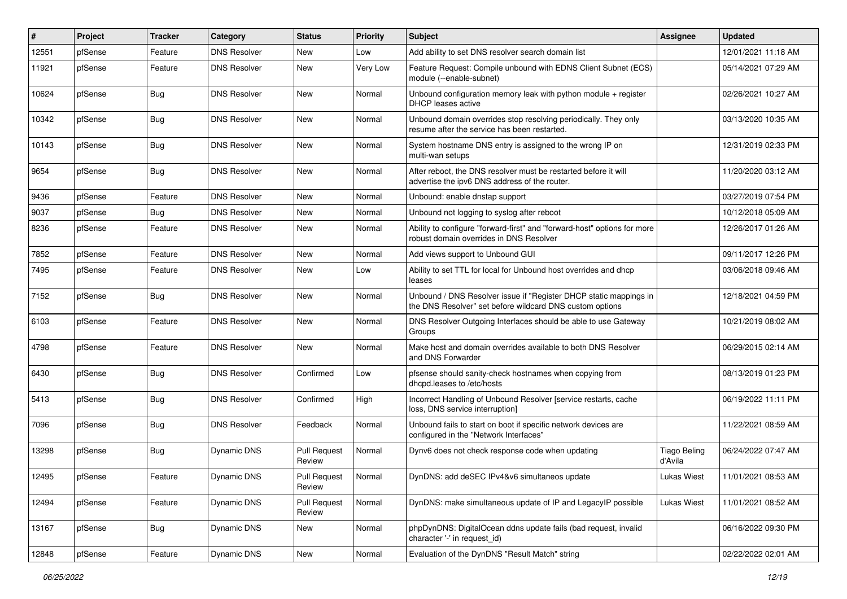| #     | Project | <b>Tracker</b> | Category            | <b>Status</b>                 | <b>Priority</b> | <b>Subject</b>                                                                                                                | Assignee                       | <b>Updated</b>      |
|-------|---------|----------------|---------------------|-------------------------------|-----------------|-------------------------------------------------------------------------------------------------------------------------------|--------------------------------|---------------------|
| 12551 | pfSense | Feature        | <b>DNS Resolver</b> | New                           | Low             | Add ability to set DNS resolver search domain list                                                                            |                                | 12/01/2021 11:18 AM |
| 11921 | pfSense | Feature        | <b>DNS Resolver</b> | New                           | Very Low        | Feature Request: Compile unbound with EDNS Client Subnet (ECS)<br>module (--enable-subnet)                                    |                                | 05/14/2021 07:29 AM |
| 10624 | pfSense | Bug            | <b>DNS Resolver</b> | New                           | Normal          | Unbound configuration memory leak with python module + register<br>DHCP leases active                                         |                                | 02/26/2021 10:27 AM |
| 10342 | pfSense | Bug            | <b>DNS Resolver</b> | New                           | Normal          | Unbound domain overrides stop resolving periodically. They only<br>resume after the service has been restarted.               |                                | 03/13/2020 10:35 AM |
| 10143 | pfSense | Bug            | <b>DNS Resolver</b> | New                           | Normal          | System hostname DNS entry is assigned to the wrong IP on<br>multi-wan setups                                                  |                                | 12/31/2019 02:33 PM |
| 9654  | pfSense | Bug            | <b>DNS Resolver</b> | New                           | Normal          | After reboot, the DNS resolver must be restarted before it will<br>advertise the ipv6 DNS address of the router.              |                                | 11/20/2020 03:12 AM |
| 9436  | pfSense | Feature        | <b>DNS Resolver</b> | New                           | Normal          | Unbound: enable dnstap support                                                                                                |                                | 03/27/2019 07:54 PM |
| 9037  | pfSense | <b>Bug</b>     | <b>DNS Resolver</b> | New                           | Normal          | Unbound not logging to syslog after reboot                                                                                    |                                | 10/12/2018 05:09 AM |
| 8236  | pfSense | Feature        | <b>DNS Resolver</b> | New                           | Normal          | Ability to configure "forward-first" and "forward-host" options for more<br>robust domain overrides in DNS Resolver           |                                | 12/26/2017 01:26 AM |
| 7852  | pfSense | Feature        | <b>DNS Resolver</b> | New                           | Normal          | Add views support to Unbound GUI                                                                                              |                                | 09/11/2017 12:26 PM |
| 7495  | pfSense | Feature        | <b>DNS Resolver</b> | New                           | Low             | Ability to set TTL for local for Unbound host overrides and dhcp<br>leases                                                    |                                | 03/06/2018 09:46 AM |
| 7152  | pfSense | Bug            | <b>DNS Resolver</b> | New                           | Normal          | Unbound / DNS Resolver issue if "Register DHCP static mappings in<br>the DNS Resolver" set before wildcard DNS custom options |                                | 12/18/2021 04:59 PM |
| 6103  | pfSense | Feature        | <b>DNS Resolver</b> | New                           | Normal          | DNS Resolver Outgoing Interfaces should be able to use Gateway<br>Groups                                                      |                                | 10/21/2019 08:02 AM |
| 4798  | pfSense | Feature        | <b>DNS Resolver</b> | <b>New</b>                    | Normal          | Make host and domain overrides available to both DNS Resolver<br>and DNS Forwarder                                            |                                | 06/29/2015 02:14 AM |
| 6430  | pfSense | Bug            | <b>DNS Resolver</b> | Confirmed                     | Low             | pfsense should sanity-check hostnames when copying from<br>dhcpd.leases to /etc/hosts                                         |                                | 08/13/2019 01:23 PM |
| 5413  | pfSense | Bug            | <b>DNS Resolver</b> | Confirmed                     | High            | Incorrect Handling of Unbound Resolver [service restarts, cache<br>loss, DNS service interruption]                            |                                | 06/19/2022 11:11 PM |
| 7096  | pfSense | Bug            | <b>DNS Resolver</b> | Feedback                      | Normal          | Unbound fails to start on boot if specific network devices are<br>configured in the "Network Interfaces"                      |                                | 11/22/2021 08:59 AM |
| 13298 | pfSense | Bug            | <b>Dynamic DNS</b>  | <b>Pull Request</b><br>Review | Normal          | Dynv6 does not check response code when updating                                                                              | <b>Tiago Beling</b><br>d'Avila | 06/24/2022 07:47 AM |
| 12495 | pfSense | Feature        | Dynamic DNS         | Pull Request<br>Review        | Normal          | DynDNS: add deSEC IPv4&v6 simultaneos update                                                                                  | <b>Lukas Wiest</b>             | 11/01/2021 08:53 AM |
| 12494 | pfSense | Feature        | <b>Dynamic DNS</b>  | Pull Request<br>Review        | Normal          | DynDNS: make simultaneous update of IP and LegacyIP possible                                                                  | <b>Lukas Wiest</b>             | 11/01/2021 08:52 AM |
| 13167 | pfSense | Bug            | <b>Dynamic DNS</b>  | New                           | Normal          | phpDynDNS: DigitalOcean ddns update fails (bad request, invalid<br>character '-' in request_id)                               |                                | 06/16/2022 09:30 PM |
| 12848 | pfSense | Feature        | <b>Dynamic DNS</b>  | New                           | Normal          | Evaluation of the DynDNS "Result Match" string                                                                                |                                | 02/22/2022 02:01 AM |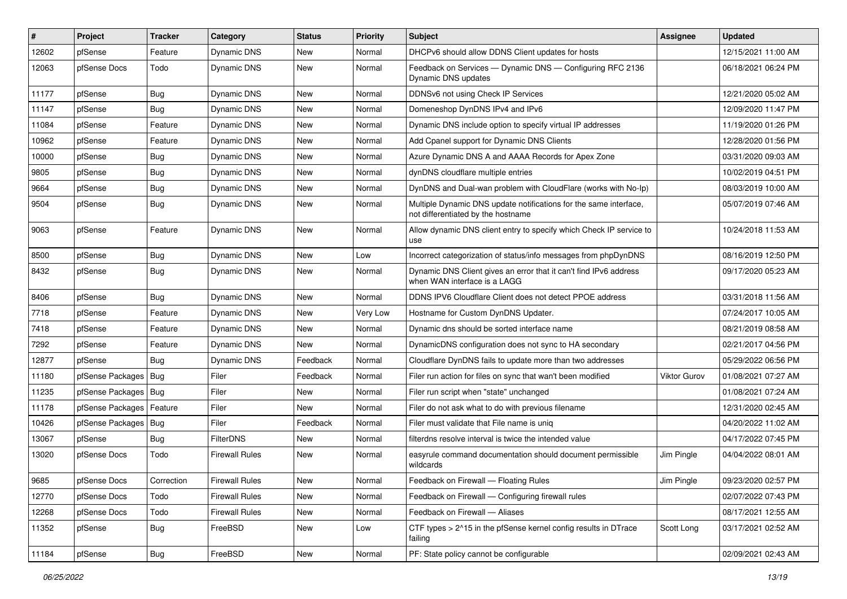| #     | Project                    | <b>Tracker</b> | Category              | <b>Status</b> | <b>Priority</b> | <b>Subject</b>                                                                                          | <b>Assignee</b>     | <b>Updated</b>      |
|-------|----------------------------|----------------|-----------------------|---------------|-----------------|---------------------------------------------------------------------------------------------------------|---------------------|---------------------|
| 12602 | pfSense                    | Feature        | Dynamic DNS           | New           | Normal          | DHCPv6 should allow DDNS Client updates for hosts                                                       |                     | 12/15/2021 11:00 AM |
| 12063 | pfSense Docs               | Todo           | Dynamic DNS           | New           | Normal          | Feedback on Services - Dynamic DNS - Configuring RFC 2136<br>Dynamic DNS updates                        |                     | 06/18/2021 06:24 PM |
| 11177 | pfSense                    | <b>Bug</b>     | <b>Dynamic DNS</b>    | <b>New</b>    | Normal          | DDNSv6 not using Check IP Services                                                                      |                     | 12/21/2020 05:02 AM |
| 11147 | pfSense                    | <b>Bug</b>     | Dynamic DNS           | <b>New</b>    | Normal          | Domeneshop DynDNS IPv4 and IPv6                                                                         |                     | 12/09/2020 11:47 PM |
| 11084 | pfSense                    | Feature        | Dynamic DNS           | <b>New</b>    | Normal          | Dynamic DNS include option to specify virtual IP addresses                                              |                     | 11/19/2020 01:26 PM |
| 10962 | pfSense                    | Feature        | Dynamic DNS           | New           | Normal          | Add Cpanel support for Dynamic DNS Clients                                                              |                     | 12/28/2020 01:56 PM |
| 10000 | pfSense                    | <b>Bug</b>     | Dynamic DNS           | New           | Normal          | Azure Dynamic DNS A and AAAA Records for Apex Zone                                                      |                     | 03/31/2020 09:03 AM |
| 9805  | pfSense                    | <b>Bug</b>     | Dynamic DNS           | New           | Normal          | dynDNS cloudflare multiple entries                                                                      |                     | 10/02/2019 04:51 PM |
| 9664  | pfSense                    | <b>Bug</b>     | Dynamic DNS           | New           | Normal          | DynDNS and Dual-wan problem with CloudFlare (works with No-Ip)                                          |                     | 08/03/2019 10:00 AM |
| 9504  | pfSense                    | Bug            | Dynamic DNS           | New           | Normal          | Multiple Dynamic DNS update notifications for the same interface,<br>not differentiated by the hostname |                     | 05/07/2019 07:46 AM |
| 9063  | pfSense                    | Feature        | Dynamic DNS           | <b>New</b>    | Normal          | Allow dynamic DNS client entry to specify which Check IP service to<br>use                              |                     | 10/24/2018 11:53 AM |
| 8500  | pfSense                    | <b>Bug</b>     | Dynamic DNS           | New           | Low             | Incorrect categorization of status/info messages from phpDynDNS                                         |                     | 08/16/2019 12:50 PM |
| 8432  | pfSense                    | <b>Bug</b>     | Dynamic DNS           | New           | Normal          | Dynamic DNS Client gives an error that it can't find IPv6 address<br>when WAN interface is a LAGG       |                     | 09/17/2020 05:23 AM |
| 8406  | pfSense                    | Bug            | <b>Dynamic DNS</b>    | <b>New</b>    | Normal          | DDNS IPV6 Cloudflare Client does not detect PPOE address                                                |                     | 03/31/2018 11:56 AM |
| 7718  | pfSense                    | Feature        | Dynamic DNS           | New           | Very Low        | Hostname for Custom DynDNS Updater.                                                                     |                     | 07/24/2017 10:05 AM |
| 7418  | pfSense                    | Feature        | Dynamic DNS           | <b>New</b>    | Normal          | Dynamic dns should be sorted interface name                                                             |                     | 08/21/2019 08:58 AM |
| 7292  | pfSense                    | Feature        | Dynamic DNS           | <b>New</b>    | Normal          | DynamicDNS configuration does not sync to HA secondary                                                  |                     | 02/21/2017 04:56 PM |
| 12877 | pfSense                    | <b>Bug</b>     | Dynamic DNS           | Feedback      | Normal          | Cloudflare DynDNS fails to update more than two addresses                                               |                     | 05/29/2022 06:56 PM |
| 11180 | pfSense Packages   Bug     |                | Filer                 | Feedback      | Normal          | Filer run action for files on sync that wan't been modified                                             | <b>Viktor Gurov</b> | 01/08/2021 07:27 AM |
| 11235 | pfSense Packages   Bug     |                | Filer                 | New           | Normal          | Filer run script when "state" unchanged                                                                 |                     | 01/08/2021 07:24 AM |
| 11178 | pfSense Packages   Feature |                | Filer                 | <b>New</b>    | Normal          | Filer do not ask what to do with previous filename                                                      |                     | 12/31/2020 02:45 AM |
| 10426 | pfSense Packages           | Bug            | Filer                 | Feedback      | Normal          | Filer must validate that File name is uniq                                                              |                     | 04/20/2022 11:02 AM |
| 13067 | pfSense                    | <b>Bug</b>     | <b>FilterDNS</b>      | <b>New</b>    | Normal          | filterdns resolve interval is twice the intended value                                                  |                     | 04/17/2022 07:45 PM |
| 13020 | pfSense Docs               | Todo           | <b>Firewall Rules</b> | New           | Normal          | easyrule command documentation should document permissible<br>wildcards                                 | Jim Pingle          | 04/04/2022 08:01 AM |
| 9685  | pfSense Docs               | Correction     | <b>Firewall Rules</b> | New           | Normal          | Feedback on Firewall - Floating Rules                                                                   | Jim Pingle          | 09/23/2020 02:57 PM |
| 12770 | pfSense Docs               | Todo           | <b>Firewall Rules</b> | <b>New</b>    | Normal          | Feedback on Firewall - Configuring firewall rules                                                       |                     | 02/07/2022 07:43 PM |
| 12268 | pfSense Docs               | Todo           | <b>Firewall Rules</b> | New           | Normal          | Feedback on Firewall - Aliases                                                                          |                     | 08/17/2021 12:55 AM |
| 11352 | pfSense                    | <b>Bug</b>     | FreeBSD               | New           | Low             | CTF types > 2^15 in the pfSense kernel config results in DTrace<br>failing                              | Scott Long          | 03/17/2021 02:52 AM |
| 11184 | pfSense                    | <b>Bug</b>     | FreeBSD               | New           | Normal          | PF: State policy cannot be configurable                                                                 |                     | 02/09/2021 02:43 AM |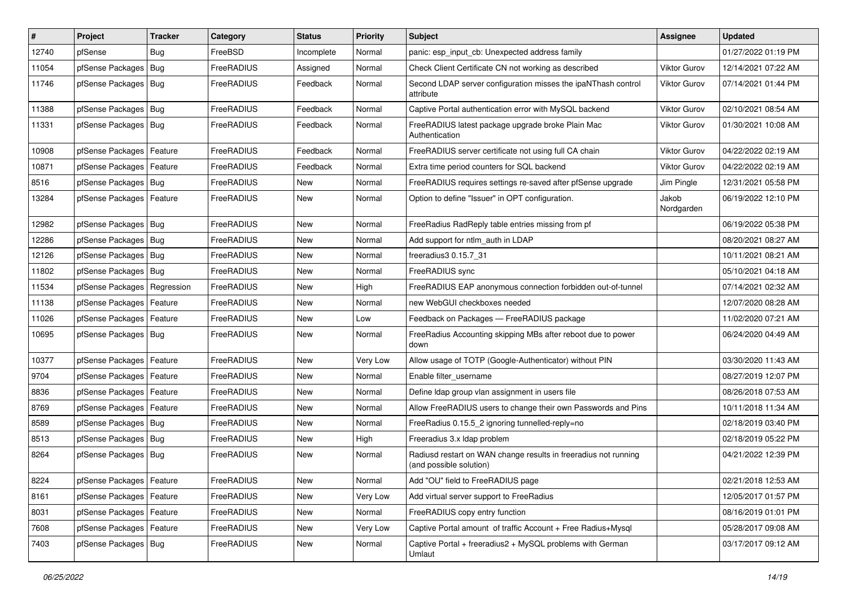| $\vert$ # | Project                    | <b>Tracker</b> | Category   | <b>Status</b> | <b>Priority</b> | Subject                                                                                    | <b>Assignee</b>     | <b>Updated</b>      |
|-----------|----------------------------|----------------|------------|---------------|-----------------|--------------------------------------------------------------------------------------------|---------------------|---------------------|
| 12740     | pfSense                    | <b>Bug</b>     | FreeBSD    | Incomplete    | Normal          | panic: esp input cb: Unexpected address family                                             |                     | 01/27/2022 01:19 PM |
| 11054     | pfSense Packages           | Bug            | FreeRADIUS | Assigned      | Normal          | Check Client Certificate CN not working as described                                       | Viktor Gurov        | 12/14/2021 07:22 AM |
| 11746     | pfSense Packages           | Bug            | FreeRADIUS | Feedback      | Normal          | Second LDAP server configuration misses the ipaNThash control<br>attribute                 | Viktor Gurov        | 07/14/2021 01:44 PM |
| 11388     | pfSense Packages           | Bug            | FreeRADIUS | Feedback      | Normal          | Captive Portal authentication error with MySQL backend                                     | Viktor Gurov        | 02/10/2021 08:54 AM |
| 11331     | pfSense Packages           | Bug            | FreeRADIUS | Feedback      | Normal          | FreeRADIUS latest package upgrade broke Plain Mac<br>Authentication                        | <b>Viktor Gurov</b> | 01/30/2021 10:08 AM |
| 10908     | pfSense Packages           | Feature        | FreeRADIUS | Feedback      | Normal          | FreeRADIUS server certificate not using full CA chain                                      | <b>Viktor Gurov</b> | 04/22/2022 02:19 AM |
| 10871     | pfSense Packages           | Feature        | FreeRADIUS | Feedback      | Normal          | Extra time period counters for SQL backend                                                 | <b>Viktor Gurov</b> | 04/22/2022 02:19 AM |
| 8516      | pfSense Packages           | Bug            | FreeRADIUS | New           | Normal          | FreeRADIUS requires settings re-saved after pfSense upgrade                                | Jim Pingle          | 12/31/2021 05:58 PM |
| 13284     | pfSense Packages           | Feature        | FreeRADIUS | New           | Normal          | Option to define "Issuer" in OPT configuration.                                            | Jakob<br>Nordgarden | 06/19/2022 12:10 PM |
| 12982     | pfSense Packages           | Bug            | FreeRADIUS | New           | Normal          | FreeRadius RadReply table entries missing from pf                                          |                     | 06/19/2022 05:38 PM |
| 12286     | pfSense Packages           | Bug            | FreeRADIUS | New           | Normal          | Add support for ntlm_auth in LDAP                                                          |                     | 08/20/2021 08:27 AM |
| 12126     | pfSense Packages           | Bug            | FreeRADIUS | New           | Normal          | freeradius3 0.15.7 31                                                                      |                     | 10/11/2021 08:21 AM |
| 11802     | pfSense Packages           | Bug            | FreeRADIUS | <b>New</b>    | Normal          | FreeRADIUS sync                                                                            |                     | 05/10/2021 04:18 AM |
| 11534     | pfSense Packages           | Regression     | FreeRADIUS | New           | High            | FreeRADIUS EAP anonymous connection forbidden out-of-tunnel                                |                     | 07/14/2021 02:32 AM |
| 11138     | pfSense Packages           | Feature        | FreeRADIUS | New           | Normal          | new WebGUI checkboxes needed                                                               |                     | 12/07/2020 08:28 AM |
| 11026     | pfSense Packages           | Feature        | FreeRADIUS | New           | Low             | Feedback on Packages - FreeRADIUS package                                                  |                     | 11/02/2020 07:21 AM |
| 10695     | pfSense Packages   Bug     |                | FreeRADIUS | New           | Normal          | FreeRadius Accounting skipping MBs after reboot due to power<br>down                       |                     | 06/24/2020 04:49 AM |
| 10377     | pfSense Packages           | Feature        | FreeRADIUS | New           | Very Low        | Allow usage of TOTP (Google-Authenticator) without PIN                                     |                     | 03/30/2020 11:43 AM |
| 9704      | pfSense Packages           | Feature        | FreeRADIUS | New           | Normal          | Enable filter username                                                                     |                     | 08/27/2019 12:07 PM |
| 8836      | pfSense Packages           | Feature        | FreeRADIUS | <b>New</b>    | Normal          | Define Idap group vlan assignment in users file                                            |                     | 08/26/2018 07:53 AM |
| 8769      | pfSense Packages           | Feature        | FreeRADIUS | New           | Normal          | Allow FreeRADIUS users to change their own Passwords and Pins                              |                     | 10/11/2018 11:34 AM |
| 8589      | pfSense Packages           | Bug            | FreeRADIUS | New           | Normal          | FreeRadius 0.15.5 2 ignoring tunnelled-reply=no                                            |                     | 02/18/2019 03:40 PM |
| 8513      | pfSense Packages           | Bug            | FreeRADIUS | New           | High            | Freeradius 3.x Idap problem                                                                |                     | 02/18/2019 05:22 PM |
| 8264      | pfSense Packages   Bug     |                | FreeRADIUS | New           | Normal          | Radiusd restart on WAN change results in freeradius not running<br>(and possible solution) |                     | 04/21/2022 12:39 PM |
| 8224      | pfSense Packages   Feature |                | FreeRADIUS | New           | Normal          | Add "OU" field to FreeRADIUS page                                                          |                     | 02/21/2018 12:53 AM |
| 8161      | pfSense Packages           | Feature        | FreeRADIUS | New           | Very Low        | Add virtual server support to FreeRadius                                                   |                     | 12/05/2017 01:57 PM |
| 8031      | pfSense Packages           | Feature        | FreeRADIUS | New           | Normal          | FreeRADIUS copy entry function                                                             |                     | 08/16/2019 01:01 PM |
| 7608      | pfSense Packages           | Feature        | FreeRADIUS | New           | Very Low        | Captive Portal amount of traffic Account + Free Radius+Mysql                               |                     | 05/28/2017 09:08 AM |
| 7403      | pfSense Packages   Bug     |                | FreeRADIUS | New           | Normal          | Captive Portal + freeradius2 + MySQL problems with German<br>Umlaut                        |                     | 03/17/2017 09:12 AM |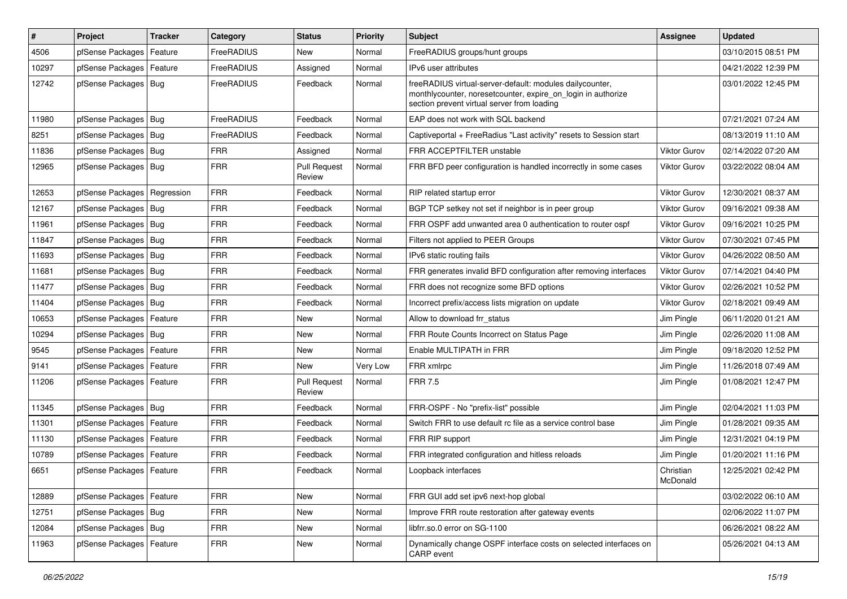| $\vert$ # | Project                    | <b>Tracker</b> | Category   | <b>Status</b>                 | <b>Priority</b> | Subject                                                                                                                                                                 | <b>Assignee</b>       | <b>Updated</b>      |
|-----------|----------------------------|----------------|------------|-------------------------------|-----------------|-------------------------------------------------------------------------------------------------------------------------------------------------------------------------|-----------------------|---------------------|
| 4506      | pfSense Packages           | Feature        | FreeRADIUS | New                           | Normal          | FreeRADIUS groups/hunt groups                                                                                                                                           |                       | 03/10/2015 08:51 PM |
| 10297     | pfSense Packages           | Feature        | FreeRADIUS | Assigned                      | Normal          | IPv6 user attributes                                                                                                                                                    |                       | 04/21/2022 12:39 PM |
| 12742     | pfSense Packages           | Bug            | FreeRADIUS | Feedback                      | Normal          | freeRADIUS virtual-server-default: modules dailycounter,<br>monthlycounter, noresetcounter, expire_on_login in authorize<br>section prevent virtual server from loading |                       | 03/01/2022 12:45 PM |
| 11980     | pfSense Packages           | Bug            | FreeRADIUS | Feedback                      | Normal          | EAP does not work with SQL backend                                                                                                                                      |                       | 07/21/2021 07:24 AM |
| 8251      | pfSense Packages           | Bug            | FreeRADIUS | Feedback                      | Normal          | Captiveportal + FreeRadius "Last activity" resets to Session start                                                                                                      |                       | 08/13/2019 11:10 AM |
| 11836     | pfSense Packages           | Bug            | <b>FRR</b> | Assigned                      | Normal          | <b>FRR ACCEPTFILTER unstable</b>                                                                                                                                        | Viktor Gurov          | 02/14/2022 07:20 AM |
| 12965     | pfSense Packages           | Bug            | <b>FRR</b> | <b>Pull Request</b><br>Review | Normal          | FRR BFD peer configuration is handled incorrectly in some cases                                                                                                         | <b>Viktor Gurov</b>   | 03/22/2022 08:04 AM |
| 12653     | pfSense Packages           | Regression     | <b>FRR</b> | Feedback                      | Normal          | RIP related startup error                                                                                                                                               | <b>Viktor Gurov</b>   | 12/30/2021 08:37 AM |
| 12167     | pfSense Packages           | Bug            | <b>FRR</b> | Feedback                      | Normal          | BGP TCP setkey not set if neighbor is in peer group                                                                                                                     | <b>Viktor Gurov</b>   | 09/16/2021 09:38 AM |
| 11961     | pfSense Packages           | Bug            | <b>FRR</b> | Feedback                      | Normal          | FRR OSPF add unwanted area 0 authentication to router ospf                                                                                                              | <b>Viktor Gurov</b>   | 09/16/2021 10:25 PM |
| 11847     | pfSense Packages           | Bug            | <b>FRR</b> | Feedback                      | Normal          | Filters not applied to PEER Groups                                                                                                                                      | Viktor Gurov          | 07/30/2021 07:45 PM |
| 11693     | pfSense Packages           | Bug            | <b>FRR</b> | Feedback                      | Normal          | IPv6 static routing fails                                                                                                                                               | <b>Viktor Gurov</b>   | 04/26/2022 08:50 AM |
| 11681     | pfSense Packages           | Bug            | <b>FRR</b> | Feedback                      | Normal          | FRR generates invalid BFD configuration after removing interfaces                                                                                                       | <b>Viktor Gurov</b>   | 07/14/2021 04:40 PM |
| 11477     | pfSense Packages           | Bug            | FRR        | Feedback                      | Normal          | FRR does not recognize some BFD options                                                                                                                                 | Viktor Gurov          | 02/26/2021 10:52 PM |
| 11404     | pfSense Packages           | <b>Bug</b>     | <b>FRR</b> | Feedback                      | Normal          | Incorrect prefix/access lists migration on update                                                                                                                       | <b>Viktor Gurov</b>   | 02/18/2021 09:49 AM |
| 10653     | pfSense Packages           | Feature        | <b>FRR</b> | New                           | Normal          | Allow to download frr status                                                                                                                                            | Jim Pingle            | 06/11/2020 01:21 AM |
| 10294     | pfSense Packages   Bug     |                | <b>FRR</b> | <b>New</b>                    | Normal          | FRR Route Counts Incorrect on Status Page                                                                                                                               | Jim Pingle            | 02/26/2020 11:08 AM |
| 9545      | pfSense Packages           | Feature        | <b>FRR</b> | <b>New</b>                    | Normal          | Enable MULTIPATH in FRR                                                                                                                                                 | Jim Pingle            | 09/18/2020 12:52 PM |
| 9141      | pfSense Packages           | Feature        | <b>FRR</b> | New                           | Very Low        | FRR xmlrpc                                                                                                                                                              | Jim Pingle            | 11/26/2018 07:49 AM |
| 11206     | pfSense Packages   Feature |                | <b>FRR</b> | <b>Pull Request</b><br>Review | Normal          | <b>FRR 7.5</b>                                                                                                                                                          | Jim Pingle            | 01/08/2021 12:47 PM |
| 11345     | pfSense Packages   Bug     |                | FRR        | Feedback                      | Normal          | FRR-OSPF - No "prefix-list" possible                                                                                                                                    | Jim Pingle            | 02/04/2021 11:03 PM |
| 11301     | pfSense Packages           | Feature        | FRR        | Feedback                      | Normal          | Switch FRR to use default rc file as a service control base                                                                                                             | Jim Pingle            | 01/28/2021 09:35 AM |
| 11130     | pfSense Packages           | Feature        | <b>FRR</b> | Feedback                      | Normal          | FRR RIP support                                                                                                                                                         | Jim Pingle            | 12/31/2021 04:19 PM |
| 10789     | pfSense Packages   Feature |                | <b>FRR</b> | Feedback                      | Normal          | FRR integrated configuration and hitless reloads                                                                                                                        | Jim Pingle            | 01/20/2021 11:16 PM |
| 6651      | pfSense Packages   Feature |                | <b>FRR</b> | Feedback                      | Normal          | Loopback interfaces                                                                                                                                                     | Christian<br>McDonald | 12/25/2021 02:42 PM |
| 12889     | pfSense Packages           | Feature        | <b>FRR</b> | New                           | Normal          | FRR GUI add set ipv6 next-hop global                                                                                                                                    |                       | 03/02/2022 06:10 AM |
| 12751     | pfSense Packages           | Bug            | <b>FRR</b> | New                           | Normal          | Improve FRR route restoration after gateway events                                                                                                                      |                       | 02/06/2022 11:07 PM |
| 12084     | pfSense Packages           | Bug            | <b>FRR</b> | New                           | Normal          | libfrr.so.0 error on SG-1100                                                                                                                                            |                       | 06/26/2021 08:22 AM |
| 11963     | pfSense Packages   Feature |                | <b>FRR</b> | New                           | Normal          | Dynamically change OSPF interface costs on selected interfaces on<br>CARP event                                                                                         |                       | 05/26/2021 04:13 AM |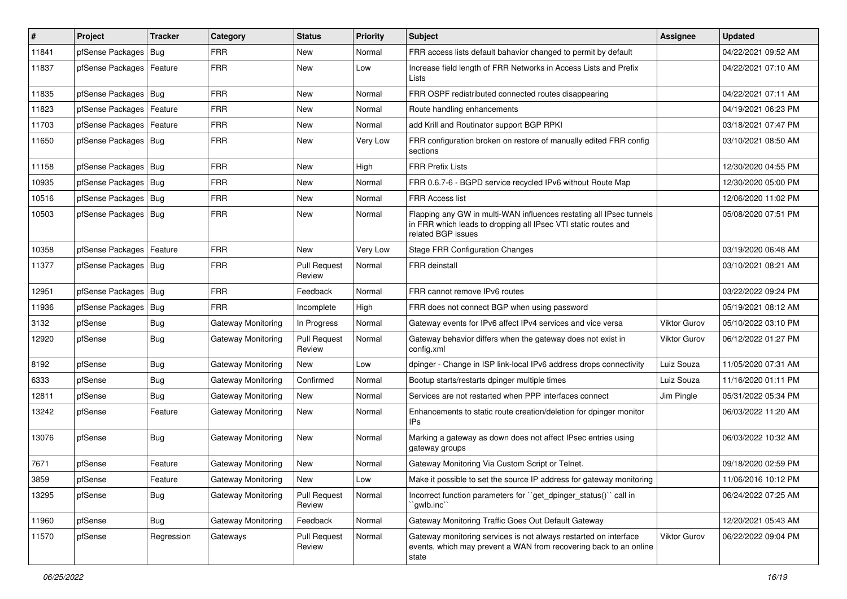| ∦     | Project                    | <b>Tracker</b> | Category                  | <b>Status</b>                 | <b>Priority</b> | <b>Subject</b>                                                                                                                                              | <b>Assignee</b>     | <b>Updated</b>      |
|-------|----------------------------|----------------|---------------------------|-------------------------------|-----------------|-------------------------------------------------------------------------------------------------------------------------------------------------------------|---------------------|---------------------|
| 11841 | pfSense Packages           | Bug            | <b>FRR</b>                | New                           | Normal          | FRR access lists default bahavior changed to permit by default                                                                                              |                     | 04/22/2021 09:52 AM |
| 11837 | pfSense Packages   Feature |                | <b>FRR</b>                | <b>New</b>                    | Low             | Increase field length of FRR Networks in Access Lists and Prefix<br>Lists                                                                                   |                     | 04/22/2021 07:10 AM |
| 11835 | pfSense Packages   Bug     |                | <b>FRR</b>                | <b>New</b>                    | Normal          | FRR OSPF redistributed connected routes disappearing                                                                                                        |                     | 04/22/2021 07:11 AM |
| 11823 | pfSense Packages           | Feature        | <b>FRR</b>                | New                           | Normal          | Route handling enhancements                                                                                                                                 |                     | 04/19/2021 06:23 PM |
| 11703 | pfSense Packages           | Feature        | <b>FRR</b>                | New                           | Normal          | add Krill and Routinator support BGP RPKI                                                                                                                   |                     | 03/18/2021 07:47 PM |
| 11650 | pfSense Packages   Bug     |                | <b>FRR</b>                | New                           | Very Low        | FRR configuration broken on restore of manually edited FRR config<br>sections                                                                               |                     | 03/10/2021 08:50 AM |
| 11158 | pfSense Packages   Bug     |                | <b>FRR</b>                | New                           | High            | <b>FRR Prefix Lists</b>                                                                                                                                     |                     | 12/30/2020 04:55 PM |
| 10935 | pfSense Packages           | Bug            | <b>FRR</b>                | <b>New</b>                    | Normal          | FRR 0.6.7-6 - BGPD service recycled IPv6 without Route Map                                                                                                  |                     | 12/30/2020 05:00 PM |
| 10516 | pfSense Packages   Bug     |                | <b>FRR</b>                | New                           | Normal          | FRR Access list                                                                                                                                             |                     | 12/06/2020 11:02 PM |
| 10503 | pfSense Packages   Bug     |                | <b>FRR</b>                | New                           | Normal          | Flapping any GW in multi-WAN influences restating all IPsec tunnels<br>in FRR which leads to dropping all IPsec VTI static routes and<br>related BGP issues |                     | 05/08/2020 07:51 PM |
| 10358 | pfSense Packages           | Feature        | <b>FRR</b>                | New                           | Very Low        | <b>Stage FRR Configuration Changes</b>                                                                                                                      |                     | 03/19/2020 06:48 AM |
| 11377 | pfSense Packages           | Bug            | <b>FRR</b>                | <b>Pull Request</b><br>Review | Normal          | FRR deinstall                                                                                                                                               |                     | 03/10/2021 08:21 AM |
| 12951 | pfSense Packages           | Bug            | <b>FRR</b>                | Feedback                      | Normal          | FRR cannot remove IPv6 routes                                                                                                                               |                     | 03/22/2022 09:24 PM |
| 11936 | pfSense Packages           | <b>Bug</b>     | <b>FRR</b>                | Incomplete                    | High            | FRR does not connect BGP when using password                                                                                                                |                     | 05/19/2021 08:12 AM |
| 3132  | pfSense                    | <b>Bug</b>     | Gateway Monitoring        | In Progress                   | Normal          | Gateway events for IPv6 affect IPv4 services and vice versa                                                                                                 | <b>Viktor Gurov</b> | 05/10/2022 03:10 PM |
| 12920 | pfSense                    | Bug            | Gateway Monitoring        | <b>Pull Request</b><br>Review | Normal          | Gateway behavior differs when the gateway does not exist in<br>config.xml                                                                                   | <b>Viktor Gurov</b> | 06/12/2022 01:27 PM |
| 8192  | pfSense                    | Bug            | Gateway Monitoring        | New                           | Low             | dpinger - Change in ISP link-local IPv6 address drops connectivity                                                                                          | Luiz Souza          | 11/05/2020 07:31 AM |
| 6333  | pfSense                    | <b>Bug</b>     | Gateway Monitoring        | Confirmed                     | Normal          | Bootup starts/restarts dpinger multiple times                                                                                                               | Luiz Souza          | 11/16/2020 01:11 PM |
| 12811 | pfSense                    | <b>Bug</b>     | <b>Gateway Monitoring</b> | New                           | Normal          | Services are not restarted when PPP interfaces connect                                                                                                      | Jim Pingle          | 05/31/2022 05:34 PM |
| 13242 | pfSense                    | Feature        | Gateway Monitoring        | New                           | Normal          | Enhancements to static route creation/deletion for dpinger monitor<br>IPs                                                                                   |                     | 06/03/2022 11:20 AM |
| 13076 | pfSense                    | Bug            | Gateway Monitoring        | New                           | Normal          | Marking a gateway as down does not affect IPsec entries using<br>gateway groups                                                                             |                     | 06/03/2022 10:32 AM |
| 7671  | pfSense                    | Feature        | Gateway Monitoring        | New                           | Normal          | Gateway Monitoring Via Custom Script or Telnet.                                                                                                             |                     | 09/18/2020 02:59 PM |
| 3859  | pfSense                    | Feature        | Gateway Monitoring        | New                           | LOW             | Make it possible to set the source IP address for gateway monitoring                                                                                        |                     | 11/06/2016 10:12 PM |
| 13295 | pfSense                    | <b>Bug</b>     | Gateway Monitoring        | <b>Pull Request</b><br>Review | Normal          | Incorrect function parameters for "get_dpinger_status()" call in<br>`gwlb.inc``                                                                             |                     | 06/24/2022 07:25 AM |
| 11960 | pfSense                    | <b>Bug</b>     | Gateway Monitoring        | Feedback                      | Normal          | Gateway Monitoring Traffic Goes Out Default Gateway                                                                                                         |                     | 12/20/2021 05:43 AM |
| 11570 | pfSense                    | Regression     | Gateways                  | <b>Pull Request</b><br>Review | Normal          | Gateway monitoring services is not always restarted on interface<br>events, which may prevent a WAN from recovering back to an online<br>state              | <b>Viktor Gurov</b> | 06/22/2022 09:04 PM |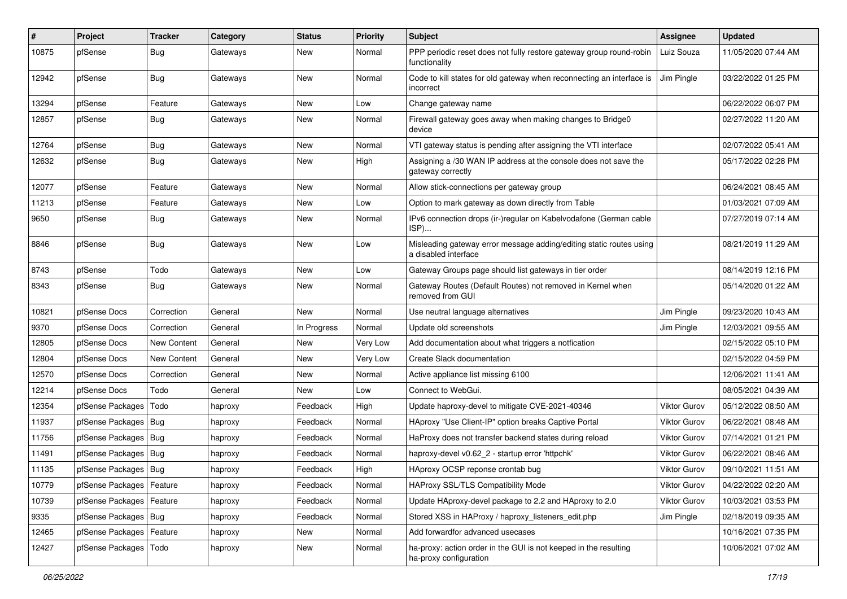| #     | Project                    | Tracker     | Category | <b>Status</b> | <b>Priority</b> | Subject                                                                                     | <b>Assignee</b>     | <b>Updated</b>      |
|-------|----------------------------|-------------|----------|---------------|-----------------|---------------------------------------------------------------------------------------------|---------------------|---------------------|
| 10875 | pfSense                    | <b>Bug</b>  | Gateways | New           | Normal          | PPP periodic reset does not fully restore gateway group round-robin<br>functionality        | Luiz Souza          | 11/05/2020 07:44 AM |
| 12942 | pfSense                    | <b>Bug</b>  | Gateways | New           | Normal          | Code to kill states for old gateway when reconnecting an interface is<br>incorrect          | Jim Pingle          | 03/22/2022 01:25 PM |
| 13294 | pfSense                    | Feature     | Gateways | <b>New</b>    | Low             | Change gateway name                                                                         |                     | 06/22/2022 06:07 PM |
| 12857 | pfSense                    | Bug         | Gateways | New           | Normal          | Firewall gateway goes away when making changes to Bridge0<br>device                         |                     | 02/27/2022 11:20 AM |
| 12764 | pfSense                    | <b>Bug</b>  | Gateways | <b>New</b>    | Normal          | VTI gateway status is pending after assigning the VTI interface                             |                     | 02/07/2022 05:41 AM |
| 12632 | pfSense                    | <b>Bug</b>  | Gateways | New           | High            | Assigning a /30 WAN IP address at the console does not save the<br>gateway correctly        |                     | 05/17/2022 02:28 PM |
| 12077 | pfSense                    | Feature     | Gateways | New           | Normal          | Allow stick-connections per gateway group                                                   |                     | 06/24/2021 08:45 AM |
| 11213 | pfSense                    | Feature     | Gateways | New           | Low             | Option to mark gateway as down directly from Table                                          |                     | 01/03/2021 07:09 AM |
| 9650  | pfSense                    | <b>Bug</b>  | Gateways | New           | Normal          | IPv6 connection drops (ir-)regular on Kabelvodafone (German cable<br>ISP)                   |                     | 07/27/2019 07:14 AM |
| 8846  | pfSense                    | <b>Bug</b>  | Gateways | New           | Low             | Misleading gateway error message adding/editing static routes using<br>a disabled interface |                     | 08/21/2019 11:29 AM |
| 8743  | pfSense                    | Todo        | Gateways | New           | Low             | Gateway Groups page should list gateways in tier order                                      |                     | 08/14/2019 12:16 PM |
| 8343  | pfSense                    | <b>Bug</b>  | Gateways | New           | Normal          | Gateway Routes (Default Routes) not removed in Kernel when<br>removed from GUI              |                     | 05/14/2020 01:22 AM |
| 10821 | pfSense Docs               | Correction  | General  | New           | Normal          | Use neutral language alternatives                                                           | Jim Pingle          | 09/23/2020 10:43 AM |
| 9370  | pfSense Docs               | Correction  | General  | In Progress   | Normal          | Update old screenshots                                                                      | Jim Pingle          | 12/03/2021 09:55 AM |
| 12805 | pfSense Docs               | New Content | General  | New           | Very Low        | Add documentation about what triggers a notfication                                         |                     | 02/15/2022 05:10 PM |
| 12804 | pfSense Docs               | New Content | General  | New           | Very Low        | Create Slack documentation                                                                  |                     | 02/15/2022 04:59 PM |
| 12570 | pfSense Docs               | Correction  | General  | New           | Normal          | Active appliance list missing 6100                                                          |                     | 12/06/2021 11:41 AM |
| 12214 | pfSense Docs               | Todo        | General  | New           | Low             | Connect to WebGui.                                                                          |                     | 08/05/2021 04:39 AM |
| 12354 | pfSense Packages           | Todo        | haproxy  | Feedback      | High            | Update haproxy-devel to mitigate CVE-2021-40346                                             | <b>Viktor Gurov</b> | 05/12/2022 08:50 AM |
| 11937 | pfSense Packages   Bug     |             | haproxy  | Feedback      | Normal          | HAproxy "Use Client-IP" option breaks Captive Portal                                        | Viktor Gurov        | 06/22/2021 08:48 AM |
| 11756 | pfSense Packages   Bug     |             | haproxy  | Feedback      | Normal          | HaProxy does not transfer backend states during reload                                      | <b>Viktor Gurov</b> | 07/14/2021 01:21 PM |
| 11491 | pfSense Packages           | Bug         | haproxy  | Feedback      | Normal          | haproxy-devel v0.62 2 - startup error 'httpchk'                                             | Viktor Gurov        | 06/22/2021 08:46 AM |
| 11135 | pfSense Packages   Bug     |             | haproxy  | Feedback      | High            | HAproxy OCSP reponse crontab bug                                                            | <b>Viktor Gurov</b> | 09/10/2021 11:51 AM |
| 10779 | pfSense Packages   Feature |             | haproxy  | Feedback      | Normal          | HAProxy SSL/TLS Compatibility Mode                                                          | Viktor Gurov        | 04/22/2022 02:20 AM |
| 10739 | pfSense Packages   Feature |             | haproxy  | Feedback      | Normal          | Update HAproxy-devel package to 2.2 and HAproxy to 2.0                                      | Viktor Gurov        | 10/03/2021 03:53 PM |
| 9335  | pfSense Packages   Bug     |             | haproxy  | Feedback      | Normal          | Stored XSS in HAProxy / haproxy_listeners_edit.php                                          | Jim Pingle          | 02/18/2019 09:35 AM |
| 12465 | pfSense Packages   Feature |             | haproxy  | New           | Normal          | Add forwardfor advanced usecases                                                            |                     | 10/16/2021 07:35 PM |
| 12427 | pfSense Packages           | Todo        | haproxy  | New           | Normal          | ha-proxy: action order in the GUI is not keeped in the resulting<br>ha-proxy configuration  |                     | 10/06/2021 07:02 AM |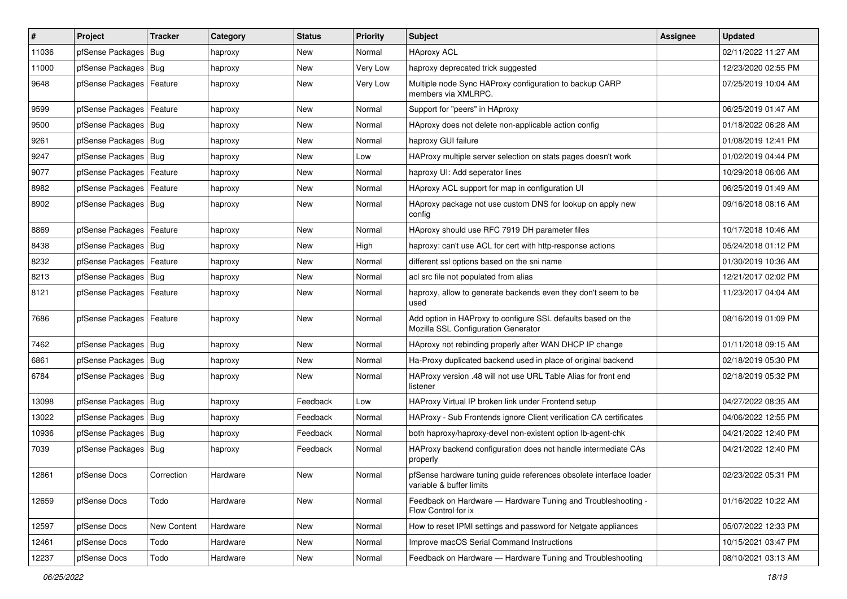| #     | Project                    | <b>Tracker</b> | Category | <b>Status</b> | <b>Priority</b> | Subject                                                                                             | <b>Assignee</b> | <b>Updated</b>      |
|-------|----------------------------|----------------|----------|---------------|-----------------|-----------------------------------------------------------------------------------------------------|-----------------|---------------------|
| 11036 | pfSense Packages           | Bug            | haproxy  | New           | Normal          | <b>HAproxy ACL</b>                                                                                  |                 | 02/11/2022 11:27 AM |
| 11000 | pfSense Packages   Bug     |                | haproxy  | <b>New</b>    | Very Low        | haproxy deprecated trick suggested                                                                  |                 | 12/23/2020 02:55 PM |
| 9648  | pfSense Packages   Feature |                | haproxy  | New           | Very Low        | Multiple node Sync HAProxy configuration to backup CARP<br>members via XMLRPC.                      |                 | 07/25/2019 10:04 AM |
| 9599  | pfSense Packages           | Feature        | haproxy  | <b>New</b>    | Normal          | Support for "peers" in HAproxy                                                                      |                 | 06/25/2019 01:47 AM |
| 9500  | pfSense Packages   Bug     |                | haproxy  | New           | Normal          | HAproxy does not delete non-applicable action config                                                |                 | 01/18/2022 06:28 AM |
| 9261  | pfSense Packages   Bug     |                | haproxy  | New           | Normal          | haproxy GUI failure                                                                                 |                 | 01/08/2019 12:41 PM |
| 9247  | pfSense Packages   Bug     |                | haproxy  | New           | Low             | HAProxy multiple server selection on stats pages doesn't work                                       |                 | 01/02/2019 04:44 PM |
| 9077  | pfSense Packages   Feature |                | haproxy  | <b>New</b>    | Normal          | haproxy UI: Add seperator lines                                                                     |                 | 10/29/2018 06:06 AM |
| 8982  | pfSense Packages   Feature |                | haproxy  | <b>New</b>    | Normal          | HAproxy ACL support for map in configuration UI                                                     |                 | 06/25/2019 01:49 AM |
| 8902  | pfSense Packages   Bug     |                | haproxy  | New           | Normal          | HAproxy package not use custom DNS for lookup on apply new<br>config                                |                 | 09/16/2018 08:16 AM |
| 8869  | pfSense Packages   Feature |                | haproxy  | New           | Normal          | HAproxy should use RFC 7919 DH parameter files                                                      |                 | 10/17/2018 10:46 AM |
| 8438  | pfSense Packages   Bug     |                | haproxy  | New           | High            | haproxy: can't use ACL for cert with http-response actions                                          |                 | 05/24/2018 01:12 PM |
| 8232  | pfSense Packages   Feature |                | haproxy  | New           | Normal          | different ssl options based on the sni name                                                         |                 | 01/30/2019 10:36 AM |
| 8213  | pfSense Packages   Bug     |                | haproxy  | New           | Normal          | acl src file not populated from alias                                                               |                 | 12/21/2017 02:02 PM |
| 8121  | pfSense Packages   Feature |                | haproxy  | New           | Normal          | haproxy, allow to generate backends even they don't seem to be<br>used                              |                 | 11/23/2017 04:04 AM |
| 7686  | pfSense Packages   Feature |                | haproxy  | New           | Normal          | Add option in HAProxy to configure SSL defaults based on the<br>Mozilla SSL Configuration Generator |                 | 08/16/2019 01:09 PM |
| 7462  | pfSense Packages   Bug     |                | haproxy  | <b>New</b>    | Normal          | HAproxy not rebinding properly after WAN DHCP IP change                                             |                 | 01/11/2018 09:15 AM |
| 6861  | pfSense Packages   Bug     |                | haproxy  | New           | Normal          | Ha-Proxy duplicated backend used in place of original backend                                       |                 | 02/18/2019 05:30 PM |
| 6784  | pfSense Packages   Bug     |                | haproxy  | New           | Normal          | HAProxy version .48 will not use URL Table Alias for front end<br>listener                          |                 | 02/18/2019 05:32 PM |
| 13098 | pfSense Packages   Bug     |                | haproxy  | Feedback      | Low             | HAProxy Virtual IP broken link under Frontend setup                                                 |                 | 04/27/2022 08:35 AM |
| 13022 | pfSense Packages   Bug     |                | haproxy  | Feedback      | Normal          | HAProxy - Sub Frontends ignore Client verification CA certificates                                  |                 | 04/06/2022 12:55 PM |
| 10936 | pfSense Packages   Bug     |                | haproxy  | Feedback      | Normal          | both haproxy/haproxy-devel non-existent option lb-agent-chk                                         |                 | 04/21/2022 12:40 PM |
| 7039  | pfSense Packages   Bug     |                | haproxy  | Feedback      | Normal          | HAProxy backend configuration does not handle intermediate CAs<br>properly                          |                 | 04/21/2022 12:40 PM |
| 12861 | pfSense Docs               | Correction     | Hardware | <b>New</b>    | Normal          | pfSense hardware tuning quide references obsolete interface loader<br>variable & buffer limits      |                 | 02/23/2022 05:31 PM |
| 12659 | pfSense Docs               | Todo           | Hardware | New           | Normal          | Feedback on Hardware - Hardware Tuning and Troubleshooting -<br>Flow Control for ix                 |                 | 01/16/2022 10:22 AM |
| 12597 | pfSense Docs               | New Content    | Hardware | New           | Normal          | How to reset IPMI settings and password for Netgate appliances                                      |                 | 05/07/2022 12:33 PM |
| 12461 | pfSense Docs               | Todo           | Hardware | New           | Normal          | Improve macOS Serial Command Instructions                                                           |                 | 10/15/2021 03:47 PM |
| 12237 | pfSense Docs               | Todo           | Hardware | New           | Normal          | Feedback on Hardware - Hardware Tuning and Troubleshooting                                          |                 | 08/10/2021 03:13 AM |